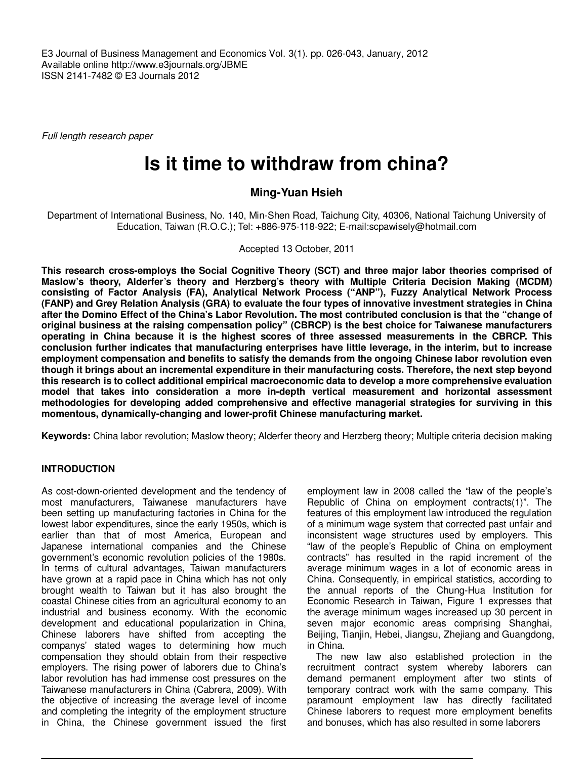E3 Journal of Business Management and Economics Vol. 3(1). pp. 026-043, January, 2012 Available online http://www.e3journals.org/JBME ISSN 2141-7482 © E3 Journals 2012

Full length research paper

# **Is it time to withdraw from china?**

# **Ming-Yuan Hsieh**

Department of International Business, No. 140, Min-Shen Road, Taichung City, 40306, National Taichung University of Education, Taiwan (R.O.C.); Tel: +886-975-118-922; E-mail:scpawisely@hotmail.com

Accepted 13 October, 2011

**This research cross-employs the Social Cognitive Theory (SCT) and three major labor theories comprised of Maslow's theory, Alderfer's theory and Herzberg's theory with Multiple Criteria Decision Making (MCDM) consisting of Factor Analysis (FA), Analytical Network Process ("ANP"), Fuzzy Analytical Network Process (FANP) and Grey Relation Analysis (GRA) to evaluate the four types of innovative investment strategies in China after the Domino Effect of the China's Labor Revolution. The most contributed conclusion is that the "change of original business at the raising compensation policy" (CBRCP) is the best choice for Taiwanese manufacturers operating in China because it is the highest scores of three assessed measurements in the CBRCP. This conclusion further indicates that manufacturing enterprises have little leverage, in the interim, but to increase employment compensation and benefits to satisfy the demands from the ongoing Chinese labor revolution even though it brings about an incremental expenditure in their manufacturing costs. Therefore, the next step beyond this research is to collect additional empirical macroeconomic data to develop a more comprehensive evaluation model that takes into consideration a more in-depth vertical measurement and horizontal assessment methodologies for developing added comprehensive and effective managerial strategies for surviving in this momentous, dynamically-changing and lower-profit Chinese manufacturing market.** 

**Keywords:** China labor revolution; Maslow theory; Alderfer theory and Herzberg theory; Multiple criteria decision making

# **INTRODUCTION**

As cost-down-oriented development and the tendency of most manufacturers, Taiwanese manufacturers have been setting up manufacturing factories in China for the lowest labor expenditures, since the early 1950s, which is earlier than that of most America, European and Japanese international companies and the Chinese government's economic revolution policies of the 1980s. In terms of cultural advantages, Taiwan manufacturers have grown at a rapid pace in China which has not only brought wealth to Taiwan but it has also brought the coastal Chinese cities from an agricultural economy to an industrial and business economy. With the economic development and educational popularization in China, Chinese laborers have shifted from accepting the companys' stated wages to determining how much compensation they should obtain from their respective employers. The rising power of laborers due to China's labor revolution has had immense cost pressures on the Taiwanese manufacturers in China (Cabrera, 2009). With the objective of increasing the average level of income and completing the integrity of the employment structure in China, the Chinese government issued the first

employment law in 2008 called the "law of the people's Republic of China on employment contracts(1)". The features of this employment law introduced the regulation of a minimum wage system that corrected past unfair and inconsistent wage structures used by employers. This "law of the people's Republic of China on employment contracts" has resulted in the rapid increment of the average minimum wages in a lot of economic areas in China. Consequently, in empirical statistics, according to the annual reports of the Chung-Hua Institution for Economic Research in Taiwan, Figure 1 expresses that the average minimum wages increased up 30 percent in seven major economic areas comprising Shanghai, Beijing, Tianjin, Hebei, Jiangsu, Zhejiang and Guangdong, in China.

The new law also established protection in the recruitment contract system whereby laborers can demand permanent employment after two stints of temporary contract work with the same company. This paramount employment law has directly facilitated Chinese laborers to request more employment benefits and bonuses, which has also resulted in some laborers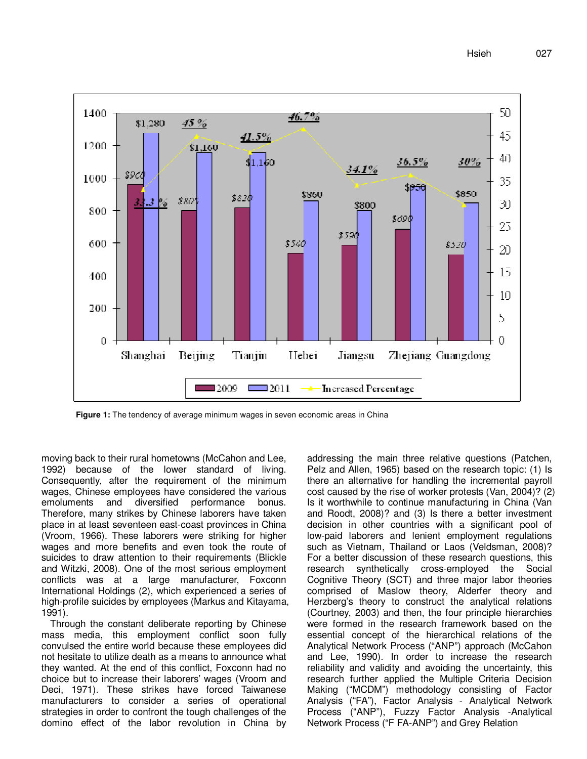

**Figure 1:** The tendency of average minimum wages in seven economic areas in China

moving back to their rural hometowns (McCahon and Lee, 1992) because of the lower standard of living. Consequently, after the requirement of the minimum wages, Chinese employees have considered the various emoluments and diversified performance bonus. Therefore, many strikes by Chinese laborers have taken place in at least seventeen east-coast provinces in China (Vroom, 1966). These laborers were striking for higher wages and more benefits and even took the route of suicides to draw attention to their requirements (Blickle and Witzki, 2008). One of the most serious employment conflicts was at a large manufacturer, Foxconn International Holdings (2), which experienced a series of high-profile suicides by employees (Markus and Kitayama, 1991).

Through the constant deliberate reporting by Chinese mass media, this employment conflict soon fully convulsed the entire world because these employees did not hesitate to utilize death as a means to announce what they wanted. At the end of this conflict, Foxconn had no choice but to increase their laborers' wages (Vroom and Deci, 1971). These strikes have forced Taiwanese manufacturers to consider a series of operational strategies in order to confront the tough challenges of the domino effect of the labor revolution in China by addressing the main three relative questions (Patchen, Pelz and Allen, 1965) based on the research topic: (1) Is there an alternative for handling the incremental payroll cost caused by the rise of worker protests (Van, 2004)? (2) Is it worthwhile to continue manufacturing in China (Van and Roodt, 2008)? and (3) Is there a better investment decision in other countries with a significant pool of low-paid laborers and lenient employment regulations such as Vietnam, Thailand or Laos (Veldsman, 2008)? For a better discussion of these research questions, this research synthetically cross-employed the Social Cognitive Theory (SCT) and three major labor theories comprised of Maslow theory, Alderfer theory and Herzberg's theory to construct the analytical relations (Courtney, 2003) and then, the four principle hierarchies were formed in the research framework based on the essential concept of the hierarchical relations of the Analytical Network Process ("ANP") approach (McCahon and Lee, 1990). In order to increase the research reliability and validity and avoiding the uncertainty, this research further applied the Multiple Criteria Decision Making ("MCDM") methodology consisting of Factor Analysis ("FA"), Factor Analysis - Analytical Network Process ("ANP"), Fuzzy Factor Analysis -Analytical Network Process ("F FA-ANP") and Grey Relation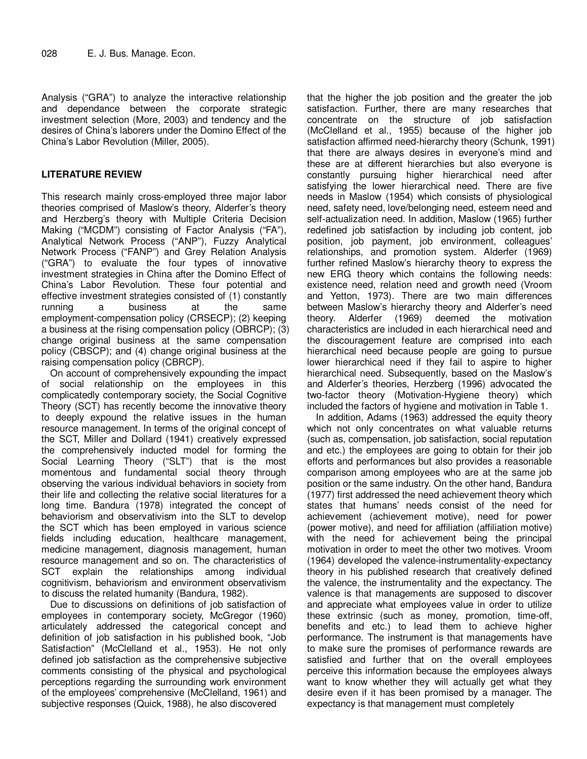Analysis ("GRA") to analyze the interactive relationship and dependance between the corporate strategic investment selection (More, 2003) and tendency and the desires of China's laborers under the Domino Effect of the China's Labor Revolution (Miller, 2005).

# **LITERATURE REVIEW**

This research mainly cross-employed three major labor theories comprised of Maslow's theory, Alderfer's theory and Herzberg's theory with Multiple Criteria Decision Making ("MCDM") consisting of Factor Analysis ("FA"), Analytical Network Process ("ANP"), Fuzzy Analytical Network Process ("FANP") and Grey Relation Analysis ("GRA") to evaluate the four types of innovative investment strategies in China after the Domino Effect of China's Labor Revolution. These four potential and effective investment strategies consisted of (1) constantly running a business at the same employment-compensation policy (CRSECP); (2) keeping a business at the rising compensation policy (OBRCP); (3) change original business at the same compensation policy (CBSCP); and (4) change original business at the raising compensation policy (CBRCP).

On account of comprehensively expounding the impact of social relationship on the employees in this complicatedly contemporary society, the Social Cognitive Theory (SCT) has recently become the innovative theory to deeply expound the relative issues in the human resource management. In terms of the original concept of the SCT, Miller and Dollard (1941) creatively expressed the comprehensively inducted model for forming the Social Learning Theory ("SLT") that is the most momentous and fundamental social theory through observing the various individual behaviors in society from their life and collecting the relative social literatures for a long time. Bandura (1978) integrated the concept of behaviorism and observativism into the SLT to develop the SCT which has been employed in various science fields including education, healthcare management, medicine management, diagnosis management, human resource management and so on. The characteristics of SCT explain the relationships among individual cognitivism, behaviorism and environment observativism to discuss the related humanity (Bandura, 1982).

Due to discussions on definitions of job satisfaction of employees in contemporary society, McGregor (1960) articulately addressed the categorical concept and definition of job satisfaction in his published book, "Job Satisfaction" (McClelland et al., 1953). He not only defined job satisfaction as the comprehensive subjective comments consisting of the physical and psychological perceptions regarding the surrounding work environment of the employees' comprehensive (McClelland, 1961) and subjective responses (Quick, 1988), he also discovered

that the higher the job position and the greater the job satisfaction. Further, there are many researches that concentrate on the structure of job satisfaction (McClelland et al., 1955) because of the higher job satisfaction affirmed need-hierarchy theory (Schunk, 1991) that there are always desires in everyone's mind and these are at different hierarchies but also everyone is constantly pursuing higher hierarchical need after satisfying the lower hierarchical need. There are five needs in Maslow (1954) which consists of physiological need, safety need, love/belonging need, esteem need and self-actualization need. In addition, Maslow (1965) further redefined job satisfaction by including job content, job position, job payment, job environment, colleagues' relationships, and promotion system. Alderfer (1969) further refined Maslow's hierarchy theory to express the new ERG theory which contains the following needs: existence need, relation need and growth need (Vroom and Yetton, 1973). There are two main differences between Maslow's hierarchy theory and Alderfer's need theory. Alderfer (1969) deemed the motivation characteristics are included in each hierarchical need and the discouragement feature are comprised into each hierarchical need because people are going to pursue lower hierarchical need if they fail to aspire to higher hierarchical need. Subsequently, based on the Maslow's and Alderfer's theories, Herzberg (1996) advocated the two-factor theory (Motivation-Hygiene theory) which included the factors of hygiene and motivation in Table 1.

In addition, Adams (1963) addressed the equity theory which not only concentrates on what valuable returns (such as, compensation, job satisfaction, social reputation and etc.) the employees are going to obtain for their job efforts and performances but also provides a reasonable comparison among employees who are at the same job position or the same industry. On the other hand, Bandura (1977) first addressed the need achievement theory which states that humans' needs consist of the need for achievement (achievement motive), need for power (power motive), and need for affiliation (affiliation motive) with the need for achievement being the principal motivation in order to meet the other two motives. Vroom (1964) developed the valence-instrumentality-expectancy theory in his published research that creatively defined the valence, the instrumentality and the expectancy. The valence is that managements are supposed to discover and appreciate what employees value in order to utilize these extrinsic (such as money, promotion, time-off, benefits and etc.) to lead them to achieve higher performance. The instrument is that managements have to make sure the promises of performance rewards are satisfied and further that on the overall employees perceive this information because the employees always want to know whether they will actually get what they desire even if it has been promised by a manager. The expectancy is that management must completely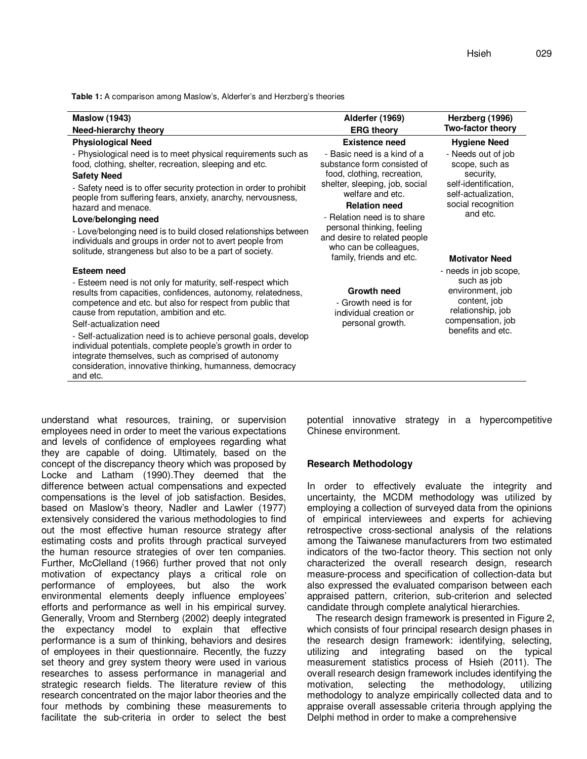**Table 1:** A comparison among Maslow's, Alderfer's and Herzberg's theories

| <b>Maslow (1943)</b>                                                                                                                                                                                                                                                                                                                                                                                                                                                                                                                           | Alderfer (1969)                                                                                                                                                                                                                                                                                                            | Herzberg (1996)                                                                                                                                             |
|------------------------------------------------------------------------------------------------------------------------------------------------------------------------------------------------------------------------------------------------------------------------------------------------------------------------------------------------------------------------------------------------------------------------------------------------------------------------------------------------------------------------------------------------|----------------------------------------------------------------------------------------------------------------------------------------------------------------------------------------------------------------------------------------------------------------------------------------------------------------------------|-------------------------------------------------------------------------------------------------------------------------------------------------------------|
| Need-hierarchy theory                                                                                                                                                                                                                                                                                                                                                                                                                                                                                                                          | <b>ERG theory</b>                                                                                                                                                                                                                                                                                                          | Two-factor theory                                                                                                                                           |
| <b>Physiological Need</b>                                                                                                                                                                                                                                                                                                                                                                                                                                                                                                                      | <b>Existence need</b>                                                                                                                                                                                                                                                                                                      | <b>Hygiene Need</b>                                                                                                                                         |
| - Physiological need is to meet physical requirements such as<br>food, clothing, shelter, recreation, sleeping and etc.<br><b>Safety Need</b><br>- Safety need is to offer security protection in order to prohibit<br>people from suffering fears, anxiety, anarchy, nervousness,<br>hazard and menace.<br>Love/belonging need<br>- Love/belonging need is to build closed relationships between<br>individuals and groups in order not to avert people from<br>solitude, strangeness but also to be a part of society.                       | - Basic need is a kind of a<br>substance form consisted of<br>food, clothing, recreation,<br>shelter, sleeping, job, social<br>welfare and etc.<br><b>Relation need</b><br>- Relation need is to share<br>personal thinking, feeling<br>and desire to related people<br>who can be colleagues,<br>family, friends and etc. | - Needs out of job<br>scope, such as<br>security,<br>self-identification,<br>self-actualization,<br>social recognition<br>and etc.<br><b>Motivator Need</b> |
| Esteem need<br>- Esteem need is not only for maturity, self-respect which<br>results from capacities, confidences, autonomy, relatedness,<br>competence and etc. but also for respect from public that<br>cause from reputation, ambition and etc.<br>Self-actualization need<br>- Self-actualization need is to achieve personal goals, develop<br>individual potentials, complete people's growth in order to<br>integrate themselves, such as comprised of autonomy<br>consideration, innovative thinking, humanness, democracy<br>and etc. | <b>Growth need</b><br>- Growth need is for<br>individual creation or<br>personal growth.                                                                                                                                                                                                                                   | - needs in job scope,<br>such as job<br>environment, job<br>content, job<br>relationship, job<br>compensation, job<br>benefits and etc.                     |

understand what resources, training, or supervision employees need in order to meet the various expectations and levels of confidence of employees regarding what they are capable of doing. Ultimately, based on the concept of the discrepancy theory which was proposed by Locke and Latham (1990).They deemed that the difference between actual compensations and expected compensations is the level of job satisfaction. Besides, based on Maslow's theory, Nadler and Lawler (1977) extensively considered the various methodologies to find out the most effective human resource strategy after estimating costs and profits through practical surveyed the human resource strategies of over ten companies. Further, McClelland (1966) further proved that not only motivation of expectancy plays a critical role on performance of employees, but also the work environmental elements deeply influence employees' efforts and performance as well in his empirical survey. Generally, Vroom and Sternberg (2002) deeply integrated the expectancy model to explain that effective performance is a sum of thinking, behaviors and desires of employees in their questionnaire. Recently, the fuzzy set theory and grey system theory were used in various researches to assess performance in managerial and strategic research fields. The literature review of this research concentrated on the major labor theories and the four methods by combining these measurements to facilitate the sub-criteria in order to select the best potential innovative strategy in a hypercompetitive Chinese environment.

## **Research Methodology**

In order to effectively evaluate the integrity and uncertainty, the MCDM methodology was utilized by employing a collection of surveyed data from the opinions of empirical interviewees and experts for achieving retrospective cross-sectional analysis of the relations among the Taiwanese manufacturers from two estimated indicators of the two-factor theory. This section not only characterized the overall research design, research measure-process and specification of collection-data but also expressed the evaluated comparison between each appraised pattern, criterion, sub-criterion and selected candidate through complete analytical hierarchies.

The research design framework is presented in Figure 2, which consists of four principal research design phases in the research design framework: identifying, selecting, utilizing and integrating based on the typical measurement statistics process of Hsieh (2011). The overall research design framework includes identifying the motivation, selecting the methodology, utilizing methodology to analyze empirically collected data and to appraise overall assessable criteria through applying the Delphi method in order to make a comprehensive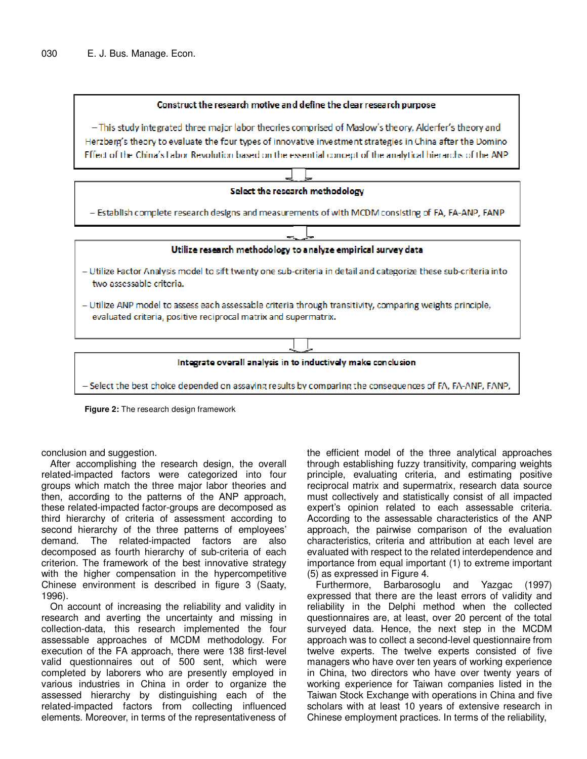

- This study integrated three major labor theories comprised of Maslow's theory, Alderfer's theory and Herzberg's theory to evaluate the four types of innovative investment strategies in China after the Domino Effect of the China's Labor Revolution based on the essential concept of the analytical hierarchs of the ANP



**Figure 2:** The research design framework

conclusion and suggestion.

After accomplishing the research design, the overall related-impacted factors were categorized into four groups which match the three major labor theories and then, according to the patterns of the ANP approach, these related-impacted factor-groups are decomposed as third hierarchy of criteria of assessment according to second hierarchy of the three patterns of employees' demand. The related-impacted factors are also decomposed as fourth hierarchy of sub-criteria of each criterion. The framework of the best innovative strategy with the higher compensation in the hypercompetitive Chinese environment is described in figure 3 (Saaty, 1996).

On account of increasing the reliability and validity in research and averting the uncertainty and missing in collection-data, this research implemented the four assessable approaches of MCDM methodology. For execution of the FA approach, there were 138 first-level valid questionnaires out of 500 sent, which were completed by laborers who are presently employed in various industries in China in order to organize the assessed hierarchy by distinguishing each of the related-impacted factors from collecting influenced elements. Moreover, in terms of the representativeness of

the efficient model of the three analytical approaches through establishing fuzzy transitivity, comparing weights principle, evaluating criteria, and estimating positive reciprocal matrix and supermatrix, research data source must collectively and statistically consist of all impacted expert's opinion related to each assessable criteria. According to the assessable characteristics of the ANP approach, the pairwise comparison of the evaluation characteristics, criteria and attribution at each level are evaluated with respect to the related interdependence and importance from equal important (1) to extreme important (5) as expressed in Figure 4.

Furthermore, Barbarosoglu and Yazgac (1997) expressed that there are the least errors of validity and reliability in the Delphi method when the collected questionnaires are, at least, over 20 percent of the total surveyed data. Hence, the next step in the MCDM approach was to collect a second-level questionnaire from twelve experts. The twelve experts consisted of five managers who have over ten years of working experience in China, two directors who have over twenty years of working experience for Taiwan companies listed in the Taiwan Stock Exchange with operations in China and five scholars with at least 10 years of extensive research in Chinese employment practices. In terms of the reliability,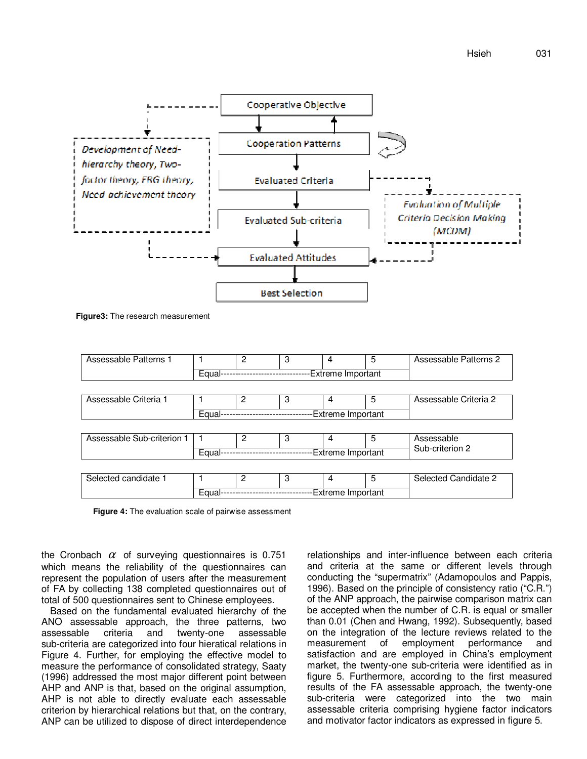

**Figure3:** The research measurement

| Assessable Patterns 1      |                             | 2 | 3               | 4                 | 5 | Assessable Patterns 2 |  |  |
|----------------------------|-----------------------------|---|-----------------|-------------------|---|-----------------------|--|--|
|                            | Equal-                      |   |                 | Extreme Important |   |                       |  |  |
|                            |                             |   |                 |                   |   |                       |  |  |
| Assessable Criteria 1      |                             | 2 | 3               | 4                 | 5 | Assessable Criteria 2 |  |  |
|                            | Equal-                      |   |                 | Extreme Important |   |                       |  |  |
|                            |                             |   |                 |                   |   |                       |  |  |
| Assessable Sub-criterion 1 |                             | 2 | 3               | 4                 | 5 | Assessable            |  |  |
|                            | Equal-                      |   | Sub-criterion 2 |                   |   |                       |  |  |
|                            |                             |   |                 |                   |   |                       |  |  |
| Selected candidate 1       |                             | 2 | 3               | 4                 | 5 | Selected Candidate 2  |  |  |
|                            | Extreme Important<br>Equal- |   |                 |                   |   |                       |  |  |

**Figure 4:** The evaluation scale of pairwise assessment

the Cronbach  $\alpha$  of surveying questionnaires is 0.751 which means the reliability of the questionnaires can represent the population of users after the measurement of FA by collecting 138 completed questionnaires out of total of 500 questionnaires sent to Chinese employees.

Based on the fundamental evaluated hierarchy of the ANO assessable approach, the three patterns, two assessable criteria and twenty-one assessable sub-criteria are categorized into four hieratical relations in Figure 4. Further, for employing the effective model to measure the performance of consolidated strategy, Saaty (1996) addressed the most major different point between AHP and ANP is that, based on the original assumption, AHP is not able to directly evaluate each assessable criterion by hierarchical relations but that, on the contrary, ANP can be utilized to dispose of direct interdependence relationships and inter-influence between each criteria and criteria at the same or different levels through conducting the "supermatrix" (Adamopoulos and Pappis, 1996). Based on the principle of consistency ratio ("C.R.") of the ANP approach, the pairwise comparison matrix can be accepted when the number of C.R. is equal or smaller than 0.01 (Chen and Hwang, 1992). Subsequently, based on the integration of the lecture reviews related to the measurement of employment performance and measurement of employment performance and satisfaction and are employed in China's employment market, the twenty-one sub-criteria were identified as in figure 5. Furthermore, according to the first measured results of the FA assessable approach, the twenty-one sub-criteria were categorized into the two main assessable criteria comprising hygiene factor indicators and motivator factor indicators as expressed in figure 5.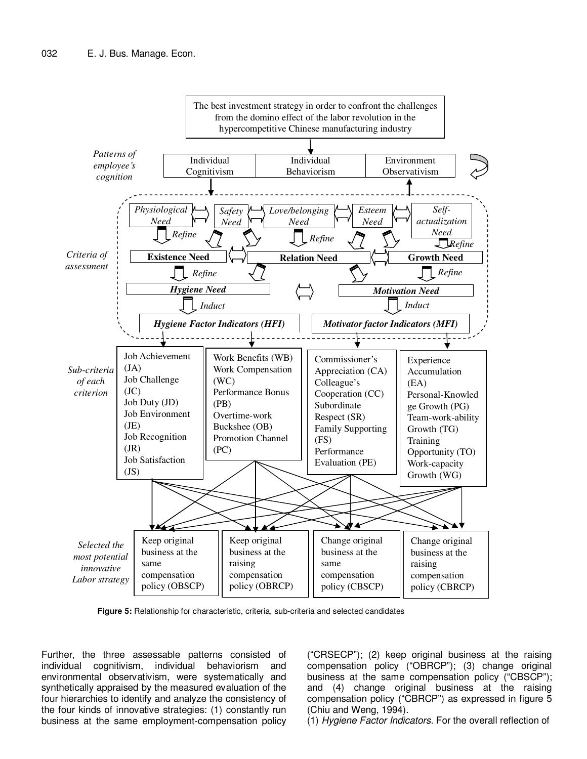

**Figure 5:** Relationship for characteristic, criteria, sub-criteria and selected candidates

Further, the three assessable patterns consisted of individual cognitivism, individual behaviorism and environmental observativism, were systematically and synthetically appraised by the measured evaluation of the four hierarchies to identify and analyze the consistency of the four kinds of innovative strategies: (1) constantly run business at the same employment-compensation policy

("CRSECP"); (2) keep original business at the raising compensation policy ("OBRCP"); (3) change original business at the same compensation policy ("CBSCP"); and (4) change original business at the raising compensation policy ("CBRCP") as expressed in figure 5 (Chiu and Weng, 1994).

(1) Hygiene Factor Indicators. For the overall reflection of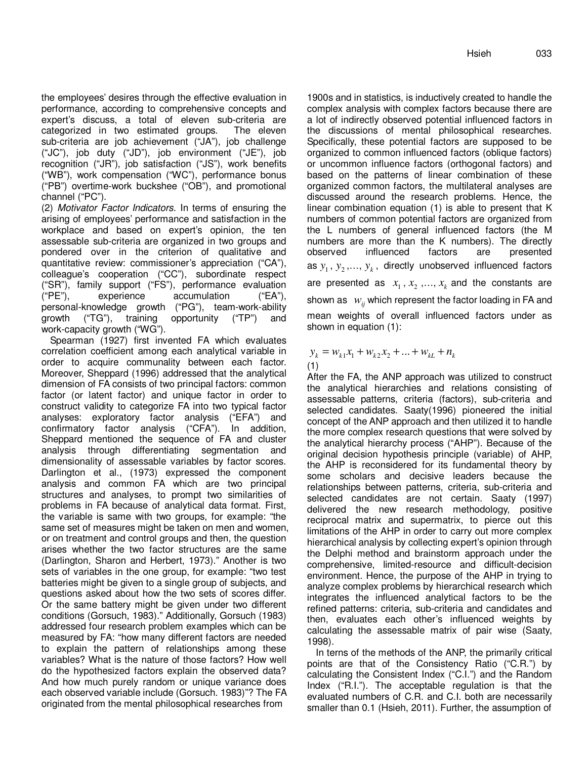the employees' desires through the effective evaluation in performance, according to comprehensive concepts and expert's discuss, a total of eleven sub-criteria are categorized in two estimated groups. The eleven sub-criteria are job achievement ("JA"), job challenge ("JC"), job duty ("JD"), job environment ("JE"), job recognition ("JR"), job satisfaction ("JS"), work benefits ("WB"), work compensation ("WC"), performance bonus ("PB") overtime-work buckshee ("OB"), and promotional channel ("PC").

(2) Motivator Factor Indicators. In terms of ensuring the arising of employees' performance and satisfaction in the workplace and based on expert's opinion, the ten assessable sub-criteria are organized in two groups and pondered over in the criterion of qualitative and quantitative review: commissioner's appreciation ("CA"), colleague's cooperation ("CC"), subordinate respect ("SR"), family support ("FS"), performance evaluation ("PE"), experience accumulation ("EA"), personal-knowledge growth ("PG"), team-work-ability growth ("TG"), training opportunity ("TP") and work-capacity growth ("WG").

Spearman (1927) first invented FA which evaluates correlation coefficient among each analytical variable in order to acquire communality between each factor. Moreover, Sheppard (1996) addressed that the analytical dimension of FA consists of two principal factors: common factor (or latent factor) and unique factor in order to construct validity to categorize FA into two typical factor analyses: exploratory factor analysis ("EFA") and confirmatory factor analysis ("CFA"). In addition, Sheppard mentioned the sequence of FA and cluster analysis through differentiating segmentation and dimensionality of assessable variables by factor scores. Darlington et al., (1973) expressed the component analysis and common FA which are two principal structures and analyses, to prompt two similarities of problems in FA because of analytical data format. First, the variable is same with two groups, for example: "the same set of measures might be taken on men and women, or on treatment and control groups and then, the question arises whether the two factor structures are the same (Darlington, Sharon and Herbert, 1973)." Another is two sets of variables in the one group, for example: "two test batteries might be given to a single group of subjects, and questions asked about how the two sets of scores differ. Or the same battery might be given under two different conditions (Gorsuch, 1983)." Additionally, Gorsuch (1983) addressed four research problem examples which can be measured by FA: "how many different factors are needed to explain the pattern of relationships among these variables? What is the nature of those factors? How well do the hypothesized factors explain the observed data? And how much purely random or unique variance does each observed variable include (Gorsuch. 1983)"? The FA originated from the mental philosophical researches from

1900s and in statistics, is inductively created to handle the complex analysis with complex factors because there are a lot of indirectly observed potential influenced factors in the discussions of mental philosophical researches. Specifically, these potential factors are supposed to be organized to common influenced factors (oblique factors) or uncommon influence factors (orthogonal factors) and based on the patterns of linear combination of these organized common factors, the multilateral analyses are discussed around the research problems. Hence, the linear combination equation (1) is able to present that K numbers of common potential factors are organized from the L numbers of general influenced factors (the M numbers are more than the K numbers). The directly observed influenced factors are presented as  $y_1$ ,  $y_2$ ,...,  $y_k$ , directly unobserved influenced factors are presented as  $x_1, x_2, ..., x_k$  and the constants are shown as  $w_{ij}$  which represent the factor loading in FA and mean weights of overall influenced factors under as shown in equation (1):

 $y_k = w_{k1} x_1 + w_{k2} x_2 + \dots + w_{kL} + n_k$ (1)

After the FA, the ANP approach was utilized to construct the analytical hierarchies and relations consisting of assessable patterns, criteria (factors), sub-criteria and selected candidates. Saaty(1996) pioneered the initial concept of the ANP approach and then utilized it to handle the more complex research questions that were solved by the analytical hierarchy process ("AHP"). Because of the original decision hypothesis principle (variable) of AHP, the AHP is reconsidered for its fundamental theory by some scholars and decisive leaders because the relationships between patterns, criteria, sub-criteria and selected candidates are not certain. Saaty (1997) delivered the new research methodology, positive reciprocal matrix and supermatrix, to pierce out this limitations of the AHP in order to carry out more complex hierarchical analysis by collecting expert's opinion through the Delphi method and brainstorm approach under the comprehensive, limited-resource and difficult-decision environment. Hence, the purpose of the AHP in trying to analyze complex problems by hierarchical research which integrates the influenced analytical factors to be the refined patterns: criteria, sub-criteria and candidates and then, evaluates each other's influenced weights by calculating the assessable matrix of pair wise (Saaty, 1998).

In terns of the methods of the ANP, the primarily critical points are that of the Consistency Ratio ("C.R.") by calculating the Consistent Index ("C.I.") and the Random Index ("R.I."). The acceptable regulation is that the evaluated numbers of C.R. and C.I. both are necessarily smaller than 0.1 (Hsieh, 2011). Further, the assumption of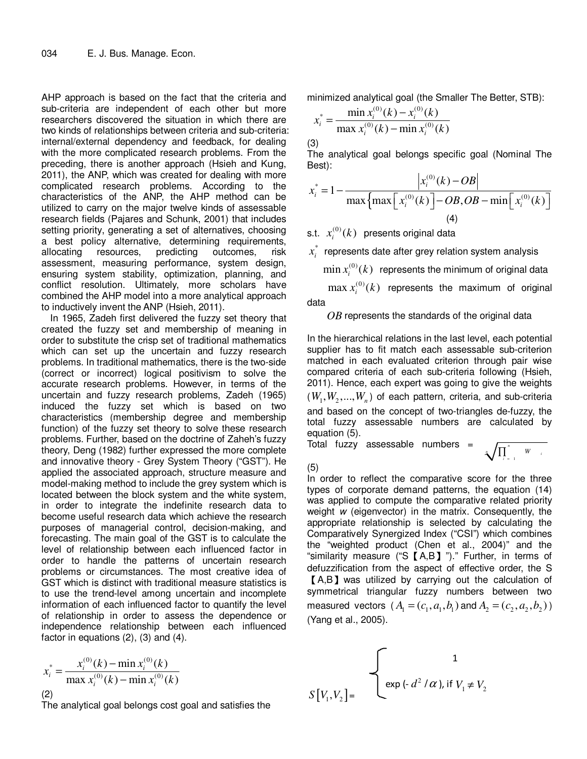AHP approach is based on the fact that the criteria and sub-criteria are independent of each other but more researchers discovered the situation in which there are two kinds of relationships between criteria and sub-criteria: internal/external dependency and feedback, for dealing with the more complicated research problems. From the preceding, there is another approach (Hsieh and Kung, 2011), the ANP, which was created for dealing with more complicated research problems. According to the characteristics of the ANP, the AHP method can be utilized to carry on the major twelve kinds of assessable research fields (Pajares and Schunk, 2001) that includes setting priority, generating a set of alternatives, choosing a best policy alternative, determining requirements, allocating resources, predicting outcomes, risk assessment, measuring performance, system design, ensuring system stability, optimization, planning, and conflict resolution. Ultimately, more scholars have combined the AHP model into a more analytical approach to inductively invent the ANP (Hsieh, 2011).

In 1965, Zadeh first delivered the fuzzy set theory that created the fuzzy set and membership of meaning in order to substitute the crisp set of traditional mathematics which can set up the uncertain and fuzzy research problems. In traditional mathematics, there is the two-side (correct or incorrect) logical positivism to solve the accurate research problems. However, in terms of the uncertain and fuzzy research problems, Zadeh (1965) induced the fuzzy set which is based on two characteristics (membership degree and membership function) of the fuzzy set theory to solve these research problems. Further, based on the doctrine of Zaheh's fuzzy theory, Deng (1982) further expressed the more complete and innovative theory - Grey System Theory ("GST"). He applied the associated approach, structure measure and model-making method to include the grey system which is located between the block system and the white system, in order to integrate the indefinite research data to become useful research data which achieve the research purposes of managerial control, decision-making, and forecasting. The main goal of the GST is to calculate the level of relationship between each influenced factor in order to handle the patterns of uncertain research problems or circumstances. The most creative idea of GST which is distinct with traditional measure statistics is to use the trend-level among uncertain and incomplete information of each influenced factor to quantify the level of relationship in order to assess the dependence or independence relationship between each influenced factor in equations (2), (3) and (4).

$$
x_i^* = \frac{x_i^{(0)}(k) - \min x_i^{(0)}(k)}{\max x_i^{(0)}(k) - \min x_i^{(0)}(k)}
$$
\n(2)

The analytical goal belongs cost goal and satisfies the

minimized analytical goal (the Smaller The Better, STB):

$$
x_i^* = \frac{\min x_i^{(0)}(k) - x_i^{(0)}(k)}{\max x_i^{(0)}(k) - \min x_i^{(0)}(k)}
$$

The analytical goal belongs specific goal (Nominal The Best):

$$
x_i^* = 1 - \frac{|x_i^{(0)}(k) - OB|}{\max \{ \max [x_i^{(0)}(k)] - OB, OB - \min [x_i^{(0)}(k)] \}}
$$
  
(4)

s.t.  $x_i^{(0)}(k)$  presents original data

\*  $x_i^*$  represents date after grey relation system analysis

 $\min x_i^{(0)}(k)$  represents the minimum of original data

 $\max_{i} x_i^{(0)}(k)$  represents the maximum of original data

## *OB* represents the standards of the original data

In the hierarchical relations in the last level, each potential supplier has to fit match each assessable sub-criterion matched in each evaluated criterion through pair wise compared criteria of each sub-criteria following (Hsieh, 2011). Hence, each expert was going to give the weights  $(W_1, W_2,...,W_n)$  of each pattern, criteria, and sub-criteria and based on the concept of two-triangles de-fuzzy, the total fuzzy assessable numbers are calculated by equation (5).

Total fuzzy assessable numbers =

1 *n n i i W* = ∏

(5)

(3)

In order to reflect the comparative score for the three types of corporate demand patterns, the equation (14) was applied to compute the comparative related priority weight w (eigenvector) in the matrix. Consequently, the appropriate relationship is selected by calculating the Comparatively Synergized Index ("CSI") which combines the "weighted product (Chen et al., 2004)" and the "similarity measure ("S  $[A, B]$  ")." Further, in terms of defuzzification from the aspect of effective order, the S 【A,B】was utilized by carrying out the calculation of symmetrical triangular fuzzy numbers between two measured vectors  $(A_1 = (c_1, a_1, b_1)$  and  $A_2 = (c_2, a_2, b_2)$ (Yang et al., 2005).

$$
S[V_1, V_2] = \begin{cases} 1 \\ exp(-d^2/\alpha), & \text{if } V_1 \neq V_2 \end{cases}
$$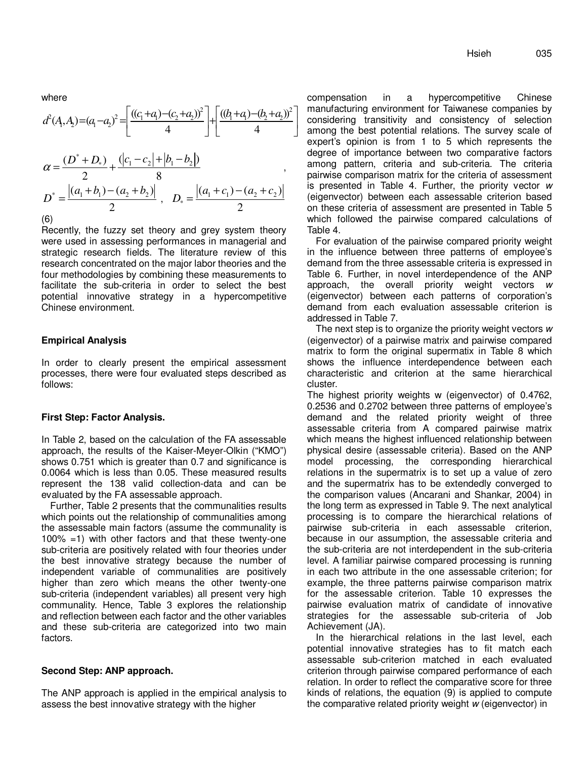where

$$
d^{2}(A_{1}A_{2}) = (a_{1}-a_{2})^{2} = \left[\frac{((c_{1}+a_{1})-(c_{2}+a_{2}))^{2}}{4}\right] + \left[\frac{((b_{1}+a_{1})-(b_{2}+a_{2}))^{2}}{4}\right]
$$

$$
\alpha = \frac{(D^{*}+D_{*})}{2} + \frac{(|c_{1}-c_{2}|+|b_{1}-b_{2}|)}{8}
$$

$$
D^{*} = \frac{|(a_{1}+b_{1})-(a_{2}+b_{2})|}{2}, \quad D_{*} = \frac{|(a_{1}+c_{1})-(a_{2}+c_{2})|}{2}
$$

$$
^{(6)}
$$

Recently, the fuzzy set theory and grey system theory were used in assessing performances in managerial and strategic research fields. The literature review of this research concentrated on the major labor theories and the four methodologies by combining these measurements to facilitate the sub-criteria in order to select the best potential innovative strategy in a hypercompetitive Chinese environment.

### **Empirical Analysis**

In order to clearly present the empirical assessment processes, there were four evaluated steps described as follows:

#### **First Step: Factor Analysis.**

In Table 2, based on the calculation of the FA assessable approach, the results of the Kaiser-Meyer-Olkin ("KMO") shows 0.751 which is greater than 0.7 and significance is 0.0064 which is less than 0.05. These measured results represent the 138 valid collection-data and can be evaluated by the FA assessable approach.

Further, Table 2 presents that the communalities results which points out the relationship of communalities among the assessable main factors (assume the communality is 100% =1) with other factors and that these twenty-one sub-criteria are positively related with four theories under the best innovative strategy because the number of independent variable of communalities are positively higher than zero which means the other twenty-one sub-criteria (independent variables) all present very high communality. Hence, Table 3 explores the relationship and reflection between each factor and the other variables and these sub-criteria are categorized into two main factors.

## **Second Step: ANP approach.**

The ANP approach is applied in the empirical analysis to assess the best innovative strategy with the higher

compensation in a hypercompetitive Chinese manufacturing environment for Taiwanese companies by considering transitivity and consistency of selection among the best potential relations. The survey scale of expert's opinion is from 1 to 5 which represents the degree of importance between two comparative factors among pattern, criteria and sub-criteria. The criteria pairwise comparison matrix for the criteria of assessment is presented in Table 4. Further, the priority vector w (eigenvector) between each assessable criterion based on these criteria of assessment are presented in Table 5 which followed the pairwise compared calculations of Table 4.

For evaluation of the pairwise compared priority weight in the influence between three patterns of employee's demand from the three assessable criteria is expressed in Table 6. Further, in novel interdependence of the ANP approach, the overall priority weight vectors w (eigenvector) between each patterns of corporation's demand from each evaluation assessable criterion is addressed in Table 7.

The next step is to organize the priority weight vectors w (eigenvector) of a pairwise matrix and pairwise compared matrix to form the original supermatix in Table 8 which shows the influence interdependence between each characteristic and criterion at the same hierarchical cluster.

The highest priority weights w (eigenvector) of 0.4762, 0.2536 and 0.2702 between three patterns of employee's demand and the related priority weight of three assessable criteria from A compared pairwise matrix which means the highest influenced relationship between physical desire (assessable criteria). Based on the ANP model processing, the corresponding hierarchical relations in the supermatrix is to set up a value of zero and the supermatrix has to be extendedly converged to the comparison values (Ancarani and Shankar, 2004) in the long term as expressed in Table 9. The next analytical processing is to compare the hierarchical relations of pairwise sub-criteria in each assessable criterion, because in our assumption, the assessable criteria and the sub-criteria are not interdependent in the sub-criteria level. A familiar pairwise compared processing is running in each two attribute in the one assessable criterion; for example, the three patterns pairwise comparison matrix for the assessable criterion. Table 10 expresses the pairwise evaluation matrix of candidate of innovative strategies for the assessable sub-criteria of Job Achievement (JA).

In the hierarchical relations in the last level, each potential innovative strategies has to fit match each assessable sub-criterion matched in each evaluated criterion through pairwise compared performance of each relation. In order to reflect the comparative score for three kinds of relations, the equation (9) is applied to compute the comparative related priority weight w (eigenvector) in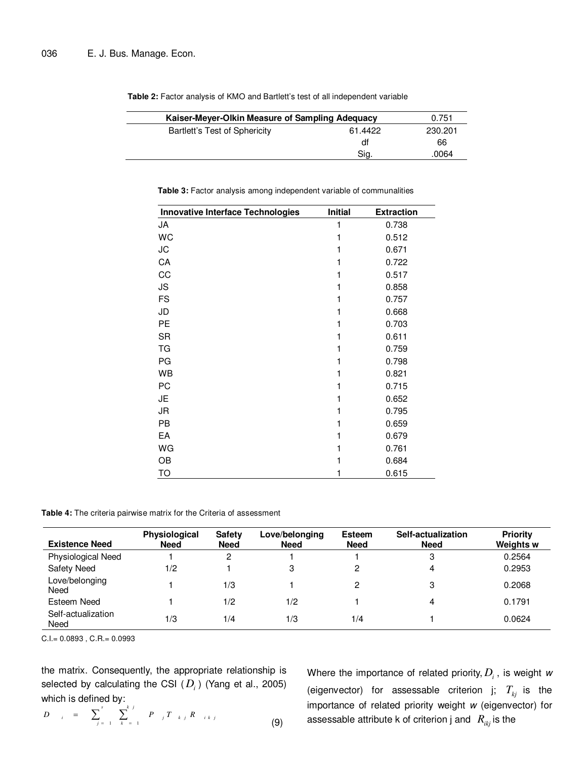|  | 0.751                         |         |         |
|--|-------------------------------|---------|---------|
|  | Bartlett's Test of Sphericity | 61.4422 | 230,201 |
|  |                               | df      | 66      |
|  |                               | Sia.    | .0064   |
|  |                               |         |         |

**Table 2:** Factor analysis of KMO and Bartlett's test of all independent variable

| <b>Innovative Interface Technologies</b> | <b>Initial</b> | <b>Extraction</b> |  |
|------------------------------------------|----------------|-------------------|--|
| JA                                       | 1              | 0.738             |  |
| <b>WC</b>                                | 1              | 0.512             |  |
| JС                                       | 1              | 0.671             |  |
| CA                                       | 1              | 0.722             |  |
| CC                                       | 1              | 0.517             |  |
| JS                                       | 1              | 0.858             |  |
| <b>FS</b>                                | 1              | 0.757             |  |
| JD                                       | 1              | 0.668             |  |
| PE                                       | 1              | 0.703             |  |
| <b>SR</b>                                | 1              | 0.611             |  |
| TG                                       | 1              | 0.759             |  |
| PG                                       | 1              | 0.798             |  |
| WB                                       | 1              | 0.821             |  |
| PC                                       | 1              | 0.715             |  |
| JE                                       | 1              | 0.652             |  |
| JR                                       | 1              | 0.795             |  |
| PB                                       | 1              | 0.659             |  |
| EA                                       | 1              | 0.679             |  |
| WG                                       | 1              | 0.761             |  |
| OB                                       | 1              | 0.684             |  |
| <b>TO</b>                                | 1              | 0.615             |  |

Table 3: Factor analysis among independent variable of communalities

**Table 4:** The criteria pairwise matrix for the Criteria of assessment

| <b>Existence Need</b>      | Physiological<br><b>Need</b> | <b>Safety</b><br><b>Need</b> | Love/belonging<br><b>Need</b> | <b>Esteem</b><br><b>Need</b> | Self-actualization<br><b>Need</b> | <b>Priority</b><br><b>Weights w</b> |
|----------------------------|------------------------------|------------------------------|-------------------------------|------------------------------|-----------------------------------|-------------------------------------|
| Physiological Need         |                              | 2                            |                               |                              | 3                                 | 0.2564                              |
| <b>Safety Need</b>         | 1/2                          |                              | 3                             | 2                            | 4                                 | 0.2953                              |
| Love/belonging<br>Need     |                              | 1/3                          |                               | 2                            | 3                                 | 0.2068                              |
| Esteem Need                |                              | 1/2                          | 1/2                           |                              | Δ                                 | 0.1791                              |
| Self-actualization<br>Need | 1/3                          | 1/4                          | 1/3                           | 1/4                          |                                   | 0.0624                              |

C.I.= 0.0893 , C.R.= 0.0993

the matrix. Consequently, the appropriate relationship is selected by calculating the CSI ( *D<sup>i</sup>* ) (Yang et al., 2005) which is defined by: *s k j*

$$
D_{i} = \sum_{j=1}^{s} \sum_{k=1}^{s} P_{j} T_{k} R_{i k j}
$$
 (9)

Where the importance of related priority,  $D_i$  , is weight  $w$ (eigenvector) for assessable criterion j;  $T_{ki}$  is the importance of related priority weight w (eigenvector) for assessable attribute k of criterion j and  $R_{ikj}$  is the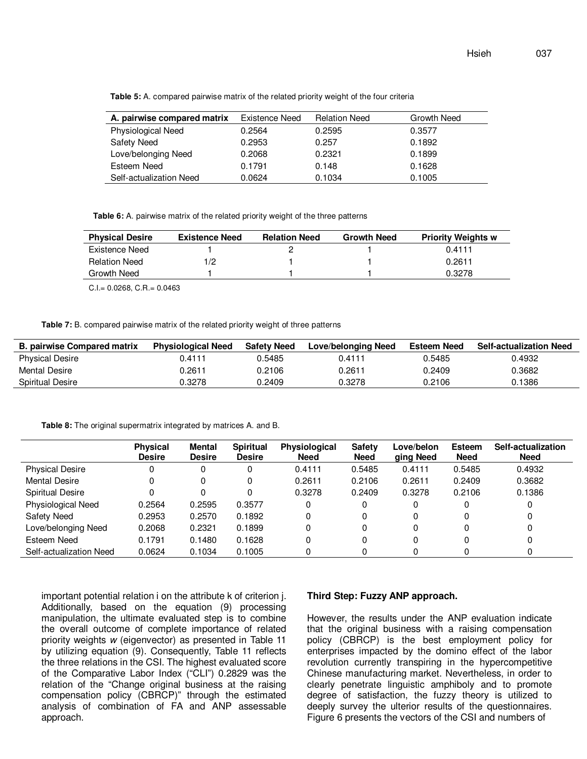**Table 5:** A. compared pairwise matrix of the related priority weight of the four criteria

| A. pairwise compared matrix | Existence Need | <b>Relation Need</b> | Growth Need |
|-----------------------------|----------------|----------------------|-------------|
| <b>Physiological Need</b>   | 0.2564         | 0.2595               | 0.3577      |
| <b>Safety Need</b>          | 0.2953         | 0.257                | 0.1892      |
| Love/belonging Need         | 0.2068         | 0.2321               | 0.1899      |
| Esteem Need                 | 0.1791         | 0.148                | 0.1628      |
| Self-actualization Need     | 0.0624         | 0.1034               | 0.1005      |

**Table 6:** A. pairwise matrix of the related priority weight of the three patterns

| <b>Physical Desire</b> | <b>Existence Need</b> | <b>Relation Need</b> | <b>Growth Need</b> | <b>Priority Weights w</b> |
|------------------------|-----------------------|----------------------|--------------------|---------------------------|
| Existence Need         |                       |                      |                    | 0.4111                    |
| <b>Relation Need</b>   | 1/2                   |                      |                    | 0.2611                    |
| Growth Need            |                       |                      |                    | 0.3278                    |

C.I.= 0.0268, C.R.= 0.0463

**Table 7:** B. compared pairwise matrix of the related priority weight of three patterns

| <b>B. pairwise Compared matrix</b> | <b>Physiological Need</b> | <b>Safety Need</b> | Love/belonging Need | Esteem Need | <b>Self-actualization Need</b> |
|------------------------------------|---------------------------|--------------------|---------------------|-------------|--------------------------------|
| <b>Physical Desire</b>             | 0.4111                    | 0.5485             | 0.4111              | 0.5485      | 0.4932                         |
| Mental Desire                      | 0.2611                    | 0.2106             | 0.2611              | 0.2409      | 0.3682                         |
| Spiritual Desire                   | 0.3278                    | 0.2409             | 0.3278              | 0.2106      | 0.1386                         |

**Table 8:** The original supermatrix integrated by matrices A. and B.

|                           | <b>Physical</b><br><b>Desire</b> | Mental<br><b>Desire</b> | <b>Spiritual</b><br><b>Desire</b> | <b>Physiological</b><br><b>Need</b> | <b>Safety</b><br><b>Need</b> | Love/belon<br>ging Need | <b>Esteem</b><br><b>Need</b> | Self-actualization<br><b>Need</b> |
|---------------------------|----------------------------------|-------------------------|-----------------------------------|-------------------------------------|------------------------------|-------------------------|------------------------------|-----------------------------------|
| <b>Physical Desire</b>    | 0                                |                         |                                   | 0.4111                              | 0.5485                       | 0.4111                  | 0.5485                       | 0.4932                            |
| <b>Mental Desire</b>      |                                  |                         | 0                                 | 0.2611                              | 0.2106                       | 0.2611                  | 0.2409                       | 0.3682                            |
| <b>Spiritual Desire</b>   |                                  |                         |                                   | 0.3278                              | 0.2409                       | 0.3278                  | 0.2106                       | 0.1386                            |
| <b>Physiological Need</b> | 0.2564                           | 0.2595                  | 0.3577                            |                                     | 0                            | 0                       |                              |                                   |
| Safety Need               | 0.2953                           | 0.2570                  | 0.1892                            |                                     | 0                            | 0                       |                              |                                   |
| Love/belonging Need       | 0.2068                           | 0.2321                  | 0.1899                            |                                     | 0                            | 0                       |                              |                                   |
| Esteem Need               | 0.1791                           | 0.1480                  | 0.1628                            |                                     | 0                            | 0                       |                              |                                   |
| Self-actualization Need   | 0.0624                           | 0.1034                  | 0.1005                            |                                     |                              |                         |                              |                                   |

important potential relation i on the attribute k of criterion j. Additionally, based on the equation (9) processing manipulation, the ultimate evaluated step is to combine the overall outcome of complete importance of related priority weights w (eigenvector) as presented in Table 11 by utilizing equation (9). Consequently, Table 11 reflects the three relations in the CSI. The highest evaluated score of the Comparative Labor Index ("CLI") 0.2829 was the relation of the "Change original business at the raising compensation policy (CBRCP)" through the estimated analysis of combination of FA and ANP assessable approach.

#### **Third Step: Fuzzy ANP approach.**

However, the results under the ANP evaluation indicate that the original business with a raising compensation policy (CBRCP) is the best employment policy for enterprises impacted by the domino effect of the labor revolution currently transpiring in the hypercompetitive Chinese manufacturing market. Nevertheless, in order to clearly penetrate linguistic amphiboly and to promote degree of satisfaction, the fuzzy theory is utilized to deeply survey the ulterior results of the questionnaires. Figure 6 presents the vectors of the CSI and numbers of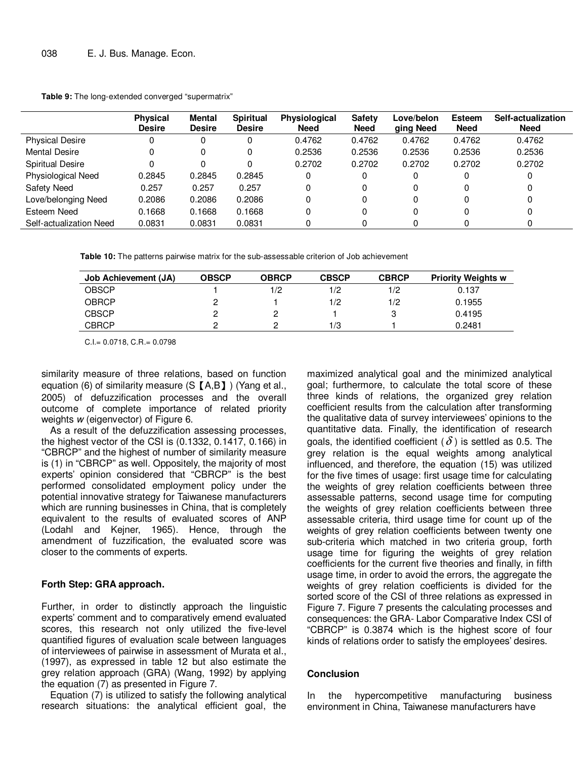|  | <b>Table 9:</b> The long-extended converged "supermatrix" |  |  |
|--|-----------------------------------------------------------|--|--|
|--|-----------------------------------------------------------|--|--|

|                         | <b>Physical</b><br><b>Desire</b> | Mental<br><b>Desire</b> | <b>Spiritual</b><br><b>Desire</b> | <b>Physiological</b><br><b>Need</b> | <b>Safety</b><br><b>Need</b> | Love/belon<br>ging Need | <b>Esteem</b><br><b>Need</b> | Self-actualization<br><b>Need</b> |
|-------------------------|----------------------------------|-------------------------|-----------------------------------|-------------------------------------|------------------------------|-------------------------|------------------------------|-----------------------------------|
| <b>Physical Desire</b>  |                                  |                         | 0                                 | 0.4762                              | 0.4762                       | 0.4762                  | 0.4762                       | 0.4762                            |
| <b>Mental Desire</b>    |                                  |                         | 0                                 | 0.2536                              | 0.2536                       | 0.2536                  | 0.2536                       | 0.2536                            |
| <b>Spiritual Desire</b> |                                  |                         |                                   | 0.2702                              | 0.2702                       | 0.2702                  | 0.2702                       | 0.2702                            |
| Physiological Need      | 0.2845                           | 0.2845                  | 0.2845                            |                                     | 0                            | 0                       | 0                            |                                   |
| <b>Safety Need</b>      | 0.257                            | 0.257                   | 0.257                             |                                     | 0                            | 0                       | 0                            |                                   |
| Love/belonging Need     | 0.2086                           | 0.2086                  | 0.2086                            | 0                                   | 0                            | 0                       | 0                            |                                   |
| Esteem Need             | 0.1668                           | 0.1668                  | 0.1668                            |                                     | 0                            | 0                       | 0                            |                                   |
| Self-actualization Need | 0.0831                           | 0.0831                  | 0.0831                            |                                     |                              |                         |                              |                                   |

**Table 10:** The patterns pairwise matrix for the sub-assessable criterion of Job achievement

| <b>Job Achievement (JA)</b> | <b>OBSCP</b> | <b>OBRCP</b> | <b>CBSCP</b> | <b>CBRCP</b> | <b>Priority Weights w</b> |
|-----------------------------|--------------|--------------|--------------|--------------|---------------------------|
| <b>OBSCP</b>                |              | 1/2          | 1/2          | 1/2          | 0.137                     |
| <b>OBRCP</b>                |              |              | 1/2          | 1/2          | 0.1955                    |
| <b>CBSCP</b>                |              |              |              | ິ            | 0.4195                    |
| <b>CBRCP</b>                |              |              | 1/3          |              | 0.2481                    |

C.I.= 0.0718, C.R.= 0.0798

similarity measure of three relations, based on function equation (6) of similarity measure (S【A,B】) (Yang et al., 2005) of defuzzification processes and the overall outcome of complete importance of related priority weights w (eigenvector) of Figure 6.

As a result of the defuzzification assessing processes, the highest vector of the CSI is (0.1332, 0.1417, 0.166) in "CBRCP" and the highest of number of similarity measure is (1) in "CBRCP" as well. Oppositely, the majority of most experts' opinion considered that "CBRCP" is the best performed consolidated employment policy under the potential innovative strategy for Taiwanese manufacturers which are running businesses in China, that is completely equivalent to the results of evaluated scores of ANP (Lodahl and Kejner, 1965). Hence, through the amendment of fuzzification, the evaluated score was closer to the comments of experts.

## **Forth Step: GRA approach.**

Further, in order to distinctly approach the linguistic experts' comment and to comparatively emend evaluated scores, this research not only utilized the five-level quantified figures of evaluation scale between languages of interviewees of pairwise in assessment of Murata et al., (1997), as expressed in table 12 but also estimate the grey relation approach (GRA) (Wang, 1992) by applying the equation (7) as presented in Figure 7.

Equation (7) is utilized to satisfy the following analytical research situations: the analytical efficient goal, the

maximized analytical goal and the minimized analytical goal; furthermore, to calculate the total score of these three kinds of relations, the organized grey relation coefficient results from the calculation after transforming the qualitative data of survey interviewees' opinions to the quantitative data. Finally, the identification of research goals, the identified coefficient ( $\delta$ ) is settled as 0.5. The grey relation is the equal weights among analytical influenced, and therefore, the equation (15) was utilized for the five times of usage: first usage time for calculating the weights of grey relation coefficients between three assessable patterns, second usage time for computing the weights of grey relation coefficients between three assessable criteria, third usage time for count up of the weights of grey relation coefficients between twenty one sub-criteria which matched in two criteria group, forth usage time for figuring the weights of grey relation coefficients for the current five theories and finally, in fifth usage time, in order to avoid the errors, the aggregate the weights of grey relation coefficients is divided for the sorted score of the CSI of three relations as expressed in Figure 7. Figure 7 presents the calculating processes and consequences: the GRA- Labor Comparative Index CSI of "CBRCP" is 0.3874 which is the highest score of four kinds of relations order to satisfy the employees' desires.

# **Conclusion**

In the hypercompetitive manufacturing business environment in China, Taiwanese manufacturers have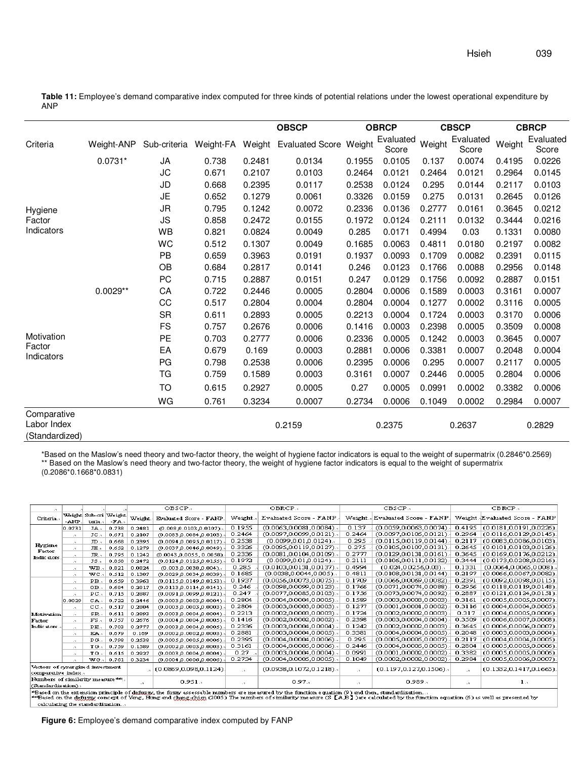**Table 11:** Employee's demand comparative index computed for three kinds of potential relations under the lowest operational expenditure by ANP

|                            |            |              |           |        | <b>OBSCP</b>           |        | <b>OBRCP</b>       |                            | <b>CBSCP</b>       | <b>CBRCP</b> |                    |  |
|----------------------------|------------|--------------|-----------|--------|------------------------|--------|--------------------|----------------------------|--------------------|--------------|--------------------|--|
| Criteria                   | Weight-ANP | Sub-criteria | Weight-FA | Weight | <b>Evaluated Score</b> | Weight | Evaluated<br>Score | Weight                     | Evaluated<br>Score | Weight       | Evaluated<br>Score |  |
|                            | $0.0731*$  | JA           | 0.738     | 0.2481 | 0.0134                 | 0.1955 | 0.0105             | 0.137                      | 0.0074             | 0.4195       | 0.0226             |  |
|                            |            | <b>JC</b>    | 0.671     | 0.2107 | 0.0103                 | 0.2464 | 0.0121             | 0.2464                     | 0.0121             | 0.2964       | 0.0145             |  |
|                            |            | JD           | 0.668     | 0.2395 | 0.0117                 | 0.2538 | 0.0124             | 0.295                      | 0.0144             | 0.2117       | 0.0103             |  |
|                            |            | JE           | 0.652     | 0.1279 | 0.0061                 | 0.3326 | 0.0159             | 0.275                      | 0.0131             | 0.2645       | 0.0126             |  |
| Hygiene                    |            | JR           | 0.795     | 0.1242 | 0.0072                 | 0.2336 | 0.0136             | 0.2777                     | 0.0161             | 0.3645       | 0.0212             |  |
| Factor                     |            | JS           | 0.858     | 0.2472 | 0.0155                 | 0.1972 | 0.0124             | 0.2111                     | 0.0132             | 0.3444       | 0.0216             |  |
| Indicators                 |            | WB           | 0.821     | 0.0824 | 0.0049                 | 0.285  | 0.0171             | 0.4994                     | 0.03               | 0.1331       | 0.0080             |  |
|                            |            | WC           | 0.512     | 0.1307 | 0.0049                 | 0.1685 | 0.0063             | 0.4811                     | 0.0180             | 0.2197       | 0.0082             |  |
|                            |            | PB           | 0.659     | 0.3963 | 0.0191                 | 0.1937 | 0.0093             | 0.1709<br>0.0123<br>0.1766 | 0.0082<br>0.0088   | 0.2391       | 0.0115             |  |
|                            |            | OB           | 0.684     | 0.2817 | 0.0141                 | 0.246  |                    |                            |                    | 0.2956       | 0.0148             |  |
|                            |            | PC           | 0.715     | 0.2887 | 0.0151                 | 0.247  | 0.0129             | 0.1756                     | 0.0092             | 0.2887       | 0.0151             |  |
|                            | $0.0029**$ | CA           | 0.722     | 0.2446 | 0.0005                 | 0.2804 | 0.0006             | 0.1589                     | 0.0003             | 0.3161       | 0.0007             |  |
|                            |            | CC           | 0.517     | 0.2804 | 0.0004                 | 0.2804 | 0.0004             | 0.1277                     | 0.0002             | 0.3116       | 0.0005             |  |
|                            |            | <b>SR</b>    | 0.611     | 0.2893 | 0.0005                 | 0.2213 | 0.0004             | 0.1724                     | 0.0003             | 0.3170       | 0.0006             |  |
|                            |            | <b>FS</b>    | 0.757     | 0.2676 | 0.0006                 | 0.1416 | 0.0003             | 0.2398                     | 0.0005             | 0.3509       | 0.0008             |  |
| Motivation<br>Factor       |            | PE           | 0.703     | 0.2777 | 0.0006                 | 0.2336 | 0.0005             | 0.1242                     | 0.0003             | 0.3645       | 0.0007             |  |
| Indicators                 |            | EA           | 0.679     | 0.169  | 0.0003                 | 0.2881 | 0.0006             | 0.3381                     | 0.0007             | 0.2048       | 0.0004             |  |
|                            |            | PG           | 0.798     | 0.2538 | 0.0006                 | 0.2395 | 0.0006             | 0.295                      | 0.0007             | 0.2117       | 0.0005             |  |
|                            |            | TG           | 0.759     | 0.1589 | 0.0003                 | 0.3161 | 0.0007             | 0.2446                     | 0.0005             | 0.2804       | 0.0006             |  |
|                            |            | TO           | 0.615     | 0.2927 | 0.0005                 | 0.27   | 0.0005             | 0.0991                     | 0.0002             | 0.3382       | 0.0006             |  |
|                            |            | WG           | 0.761     | 0.3234 | 0.0007                 | 0.2734 | 0.0006             | 0.1049                     | 0.0002             | 0.2984       | 0.0007             |  |
| Comparative<br>Labor Index |            |              | 0.2159    |        | 0.2375                 |        | 0.2637             | 0.2829                     |                    |              |                    |  |
| (Standardized)             |            |              |           |        |                        |        |                    |                            |                    |              |                    |  |

\*Based on the Maslow's need theory and two-factor theory, the weight of hygiene factor indicators is equal to the weight of supermatrix (0.2846\*0.2569) \*\* Based on the Maslow's need theory and two-factor theory, the weight of hygiene factor indicators is equal to the weight of supermatrix

(0.2086\*0.1668\*0.0831)

|                                                         |                                                                                                                                                                                                                                                                                                                                        |                                |       |              | OBSCP.,                     |              | OBRCP.,                      |           | CBSCP.,                     |              | CBRCP.                        |  |  |
|---------------------------------------------------------|----------------------------------------------------------------------------------------------------------------------------------------------------------------------------------------------------------------------------------------------------------------------------------------------------------------------------------------|--------------------------------|-------|--------------|-----------------------------|--------------|------------------------------|-----------|-----------------------------|--------------|-------------------------------|--|--|
| Criteria.                                               | -ANP                                                                                                                                                                                                                                                                                                                                   | Weight Sub-cri Weight<br>teria | -FA   | Weight.      | Evaluated Score - FANP      | Weight.      | Evaluated Score - FANP       | Weight .  | Evaluated Score - FANP      |              | Weight Evaluated Score - FANP |  |  |
|                                                         | [0.0731                                                                                                                                                                                                                                                                                                                                | JA.                            | 0.738 | 0.2481       | $(0.008, 0.0103, 0.0107)$ . | 0.1955       | $(0.0063, 0.0081, 0.0084)$ . | 0.137     | (0.0059, 0.0063, 0.0074)    | 0.4195       | (0.0181,0.0191,0.0226)        |  |  |
|                                                         | $\cdot$                                                                                                                                                                                                                                                                                                                                | JC.                            | 0.671 | 0.2107       | (0.0083, 0.0084, 0.0103)    | 0.2464       | $(0.0097, 0.0099, 0.0121)$ . | 0.2464    | (0.0097, 0.0105, 0.0121)    | 0.2964       | (0.0116, 0.0129, 0.0145)      |  |  |
|                                                         | $\cdot$ 1                                                                                                                                                                                                                                                                                                                              | JD.                            | 0.668 | 0.2395       | (0.0094.0.0095.0.0117).     | 0.2538       | $(0.0099, 0.01, 0.0124)$ .   | 0.295     | (0.0115.0.0119.0.0144)      | 0.2117       | (0.0083, 0.0086, 0.0103)      |  |  |
| Hygiene                                                 | $\cdot$ 1                                                                                                                                                                                                                                                                                                                              | JE.                            | 0.652 | 0.1279       | (0.0037, 0.0046, 0.0049)    | 0.3326       | $(0.0095, 0.0119, 0.0127)$ . | 0.275     | (0.0105, 0.0107, 0.0131)    | 0.2645       | (0.0101, 0.0103, 0.0126)      |  |  |
| Factor<br>Indic stors                                   | $\mathbf{r}$                                                                                                                                                                                                                                                                                                                           | JR.,                           | 0.795 | 0.1242       | (0.0043, 0.0055, 0.0058)    | 0.2336       | (0.0081.0.0104.0.0109).      | 0.2777    | (0.0129,0.0131,0.0161)      | 0.3645       | (0.0169,0.0176,0.0212)        |  |  |
|                                                         | $\sim$ 70 $\sim$                                                                                                                                                                                                                                                                                                                       | JS.                            | 0.858 | 0.2472       | (0.0124,0.0125,0.0155).     | 0.1972       | $(0.0099, 0.01, 0.0124)$ .   | 0.2111    | (0.0106,0.0111,0.0132)      | 0.3444       | (0.0173,0.0208,0.0216)        |  |  |
|                                                         | $\sim$ 70 $\,$                                                                                                                                                                                                                                                                                                                         | WB                             | 0.821 | 0.0824       | $(0.003, 0.0038, 0.004)$ .  | 0.285        | (0.0103,0.0131,0.0137).,     | 0.4994    | $(0.024, 0.0256, 0.03)$ .   | 0.1331       | $(0.0064, 0.0065, 0.008)$ .   |  |  |
|                                                         | $\cdot$                                                                                                                                                                                                                                                                                                                                | wc                             | 0.512 | 0.1307       | (0.0029.0.0034.0.0039).     | 0.1685       | $(0.0038, 0.0044, 0.005)$ .  | 0.4811    | (0.0108, 0.0131, 0.0144)    | 0.2197       | (0.0066, 0.0067, 0.0082)      |  |  |
|                                                         | $\cdot$                                                                                                                                                                                                                                                                                                                                | PB.                            | 0.659 | 0.3963       | (0.0115.0.0149.0.0153).     | 0.1937       | $(0.0056, 0.0073, 0.0075)$ . | 0.1709    | (0.0066.0.0069.0.0082)      | 0.2391       | (0.0092, 0.0098, 0.0115)      |  |  |
|                                                         | $\cdot$                                                                                                                                                                                                                                                                                                                                | OВ.                            | 0.684 | 0.2817       | (0.0113, 0.0114, 0.0141).   | 0.246        | $(0.0098, 0.0099, 0.0123)$ . | 0.1766    | (0.0071.0.0074.0.0088)      | 0.2956       | (0.0118, 0.0119, 0.0148)      |  |  |
|                                                         | $\cdot$ T                                                                                                                                                                                                                                                                                                                              | $PC_{\alpha}$                  | 0.715 | 0.2887       | (0.0091,0.0099,0.0121).     | 0.247        | $(0.0077, 0.0085, 0.0103)$ . | 0.1756    | (0.0073,0.0074,0.0092)      | 0.2887       | (0.0121, 0.0124, 0.0151)      |  |  |
|                                                         | 0.0029                                                                                                                                                                                                                                                                                                                                 | CA.                            | 0.722 | 0.2446       | (0.0003,0.0003,0.0004)      | 0.2804       | (0.0004,0.0004,0.0005).      | 0.1589    | (0.0003,0.0003,0.0003)      | 0.3161       | (0.0005,0.0005,0.0007)        |  |  |
|                                                         | $\mathbf{r}$                                                                                                                                                                                                                                                                                                                           | cc.                            | 0.517 | 0.2804       | (0.0003.0.0003.0.0003).     | 0.2804       | $(0.0003, 0.0003, 0.0003)$ . | 0.1277    | (0.0001, 0.0001, 0.0002)    | 0.3116       | (0.0004, 0.0004, 0.0005)      |  |  |
| <b>Motivation</b>                                       | $\sim$                                                                                                                                                                                                                                                                                                                                 | SE.                            | 0.611 | 0.2893       | (0.0003, 0.0004, 0.0004)    | 0.2213       | $(0.0002, 0.0003, 0.0003)$ . | 0.1724    | (0.0002, 0.0002, 0.0003)    | 0.317        | (0.0004, 0.0005, 0.0006)      |  |  |
| Factor                                                  | $\cdot$                                                                                                                                                                                                                                                                                                                                | FS.                            | 0.757 | 0.2676       | (0.0004, 0.0004, 0.0005)    | 0.1416       | (0.0002, 0.0002, 0.0002)     | 0.2398    | (0.0003, 0.0004, 0.0004)    | 0.3509       | (0.0006, 0.0007, 0.0008)      |  |  |
| Indicators.                                             | $\mathbf{r}$                                                                                                                                                                                                                                                                                                                           | PE.                            | 0.703 | 0.2777       | (0.0003, 0.0004, 0.0005)    | 0.2336       | (0.0003, 0.0004, 0.0004)     | 0.1242    | (0.0002, 0.0002, 0.0003)    | 0.3645       | (0.0006, 0.0006, 0.0007)      |  |  |
|                                                         | $\cdot$                                                                                                                                                                                                                                                                                                                                | EA.                            | 0.679 | 0.169        | (0.0002, 0.0002, 0.0003)    | 0.2881       | (0.0003, 0.0004, 0.0005)     | 0.3381    | (0.0004,0.0004,0.0005)      | 0.2048       | (0.0003, 0.0003, 0.0004)      |  |  |
|                                                         | $\cdot$                                                                                                                                                                                                                                                                                                                                | PG.                            | 0.798 | 0.2538       | (0.0005, 0.0005, 0.0006)    | 0.2395       | (0.0004.0.0004.0.0006).      | 0.295     | (0.0005,0.0005,0.0007)      | 0.2117       | (0.0004.0.0004.0.0005)        |  |  |
|                                                         | $\mathbf{r}$                                                                                                                                                                                                                                                                                                                           | TG.                            | 0.759 | 0.1589       | (0.0002, 0.0003, 0.0003)    | 0.3161       | (0.0004, 0.0005, 0.0006)     | 0.2446    | (0.0004,0.0005,0.0005)      | 0.2804       | (0.0005, 0.0005, 0.0006)      |  |  |
|                                                         | $\mathcal{L}$                                                                                                                                                                                                                                                                                                                          | TO.                            | 0.615 | 0.2927       | (0.0003.0.0004.0.0004).     | 0.27         | $(0.0003, 0.0004, 0.0004)$ . | 0.0991    | (0.0001, 0.0002, 0.0002)    | 0.3382       | (0.0005,0.0005,0.0006)        |  |  |
|                                                         | $\mathcal{L}_{\mathcal{A}}$                                                                                                                                                                                                                                                                                                            | WG.                            | 0.761 | 0.3234       | (0.0004, 0.0006, 0.0006)    | 0.2734       | (0.0004.0.0005.0.0005)       | 0.1049    | (0.0002, 0.0002, 0.0002)    | 0.2984       | (0.0005, 0.0006, 0.0007)      |  |  |
| Vectors of synergized investment.<br>comparative index. |                                                                                                                                                                                                                                                                                                                                        |                                |       |              | $(0.0869, 0.098, 0.1124)$ . | $\mathbf{r}$ | $(0.0938, 0.1072, 0.1218)$ . | $\cdot$   | $(0.1197, 0.127, 0.1506)$ . | $\cdot$      | (0.1332, 0.1417, 0.1665)      |  |  |
| Numbers of similarity measure ""<br>(Standardization).  |                                                                                                                                                                                                                                                                                                                                        |                                |       | $\mathbf{r}$ | 0.951                       | $\mathbf{r}$ | 0.97.7                       | $\cdot$ 1 | 0.989.1                     | $\mathbf{r}$ | 1.7                           |  |  |
|                                                         | "Based on the extension principle of defuggy, the fuzzy assessable rombers are measured by the function equation (9) and then, standardization<br>**Based on the defuzy concept of Yang, Hing and chang-chien (2005) The runnbers of similarity measure (S [A,B] ) are calculated by the function equation (6) as well as presented by |                                |       |              |                             |              |                              |           |                             |              |                               |  |  |

ure (S【A,B】)are calc calculating the standardization...

**Figure 6:** Employee's demand comparative index computed by FANP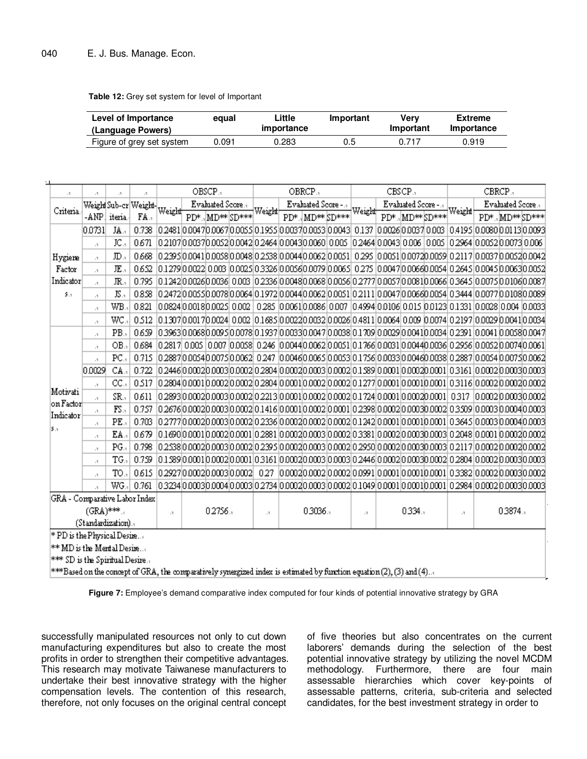**Table 12:** Grey set system for level of Important

| Level of Importance       | egual | Little<br><i>importance</i> | Important | Verv<br>Important | Extreme<br><b>Importance</b> |
|---------------------------|-------|-----------------------------|-----------|-------------------|------------------------------|
| (Language Powers)         |       |                             |           |                   |                              |
| Figure of grey set system | 0.091 | 0.283                       | 0.5       | 0.717             | 0.919                        |

| $\cdot$                        | $\cdot$ 1                                                                                                                      | $\cdot$       | $\cdot$ 1                  |                                  |                   | OBSCP., |                  |        | OBRCP.   |                   |                 |        |                     | CBSCP.,         |           | CBRCP.,                                                                                                              |                   |  |                 |  |
|--------------------------------|--------------------------------------------------------------------------------------------------------------------------------|---------------|----------------------------|----------------------------------|-------------------|---------|------------------|--------|----------|-------------------|-----------------|--------|---------------------|-----------------|-----------|----------------------------------------------------------------------------------------------------------------------|-------------------|--|-----------------|--|
|                                |                                                                                                                                |               | Weigh Sub-cr Weight Weight |                                  | Evaluated Score., |         |                  |        |          | Evaluated Score - |                 |        | Evaluated Score - . |                 |           |                                                                                                                      | Evaluated Score., |  |                 |  |
| Criteria.                      | $-AMP$                                                                                                                         | iteria.       | FA.                        |                                  |                   |         | PD*., MD** SD*** | Weight |          |                   | PD*. MD** SD*** | Weight |                     | PD*., MD**SD*** |           | Weight                                                                                                               |                   |  | PD*., MD**SD*** |  |
|                                | 0.0731                                                                                                                         | JA.,          | 0.738                      |                                  |                   |         |                  |        |          |                   |                 |        |                     |                 |           | 0.2481 0.0047 0.0067 0.0055 0.1955 0.0037 0.0033 0.0043  0.137  0.0026  0.003  0.003  0.4195  0.0080  0.113  0.0093  |                   |  |                 |  |
|                                | $\cdot$ 1                                                                                                                      | JC.,          | 0.671                      |                                  |                   |         |                  |        |          |                   |                 |        |                     |                 |           | 0.2107 0.0037 0.0052 0.0042 0.2464 0.0043 0.0060 0.005  0.2464 0.0043 0.006  0.005  0.2964 0.0052 0.0073 0.006       |                   |  |                 |  |
| Hygiene                        | $\cdot$                                                                                                                        | <b>JD.,</b>   | 0668                       |                                  |                   |         |                  |        |          |                   |                 |        |                     |                 |           | l0.2395l0.0041l0.0058l0.0048l0.2538l0.0044l0.0062l0.0051l 0.295 l0.0051l0.0072l0.0059l0.2117l0.0037l0.0052l0.0042    |                   |  |                 |  |
| Factor                         | $\mathbf{r}$                                                                                                                   | 正.            | 0652                       |                                  |                   |         |                  |        |          |                   |                 |        |                     |                 |           | l0.1279l0.0022l0.003 l0.002Sl0.3326l0.0036l0.0079l0.006Sl 0.275 l0.0047l0.0066l0.0054l0.264Sl0.004Sl0.0063l0.0052    |                   |  |                 |  |
| Indicator                      | $\cdot$                                                                                                                        | 珉.,           | 0.795                      |                                  |                   |         |                  |        |          |                   |                 |        |                     |                 |           | 0.1242 0.0026 0.0036  0.003  0.2336 0.0048 0.0058 0.0056 0.2777 0.0057 0.0081 0.0066  0.3645  0.0075 0.0106 0.0087   |                   |  |                 |  |
| 5.1                            | $\cdot$                                                                                                                        | $JS_{11}$     | 0.858                      |                                  |                   |         |                  |        |          |                   |                 |        |                     |                 |           | l0 2472l0.005Sl0.0078l0.0064l0.1972l0.0044l0.0062l0.0051l0.2111l0.0047l0.0066l0.0054l0.3444l0.0077l0.0108l0.0089     |                   |  |                 |  |
|                                | $\cdot$ 1                                                                                                                      | WB            | 0.821                      |                                  |                   |         |                  |        |          |                   |                 |        |                     |                 |           | 0.0824 0.0018 0.0025  0.002   0.285  0.0061 0.0086  0.007  0.4994 0.0106  0.013  0.123  0.1331  0.0028  0.04  0.0033 |                   |  |                 |  |
|                                | $\cdot$ 1                                                                                                                      | WC.           | 0.512                      |                                  |                   |         |                  |        |          |                   |                 |        |                     |                 |           | l0.1307l0.0017l0.0024l 0.002 l0.1685l0.0022l0.0032l0.0026l0.4811l0.0064l0.009 l0.0074l0.2197l0.0029l0.0041l0.0034    |                   |  |                 |  |
|                                | $\cdot$ 1                                                                                                                      | PB.           | 0659                       |                                  |                   |         |                  |        |          |                   |                 |        |                     |                 |           | lo 3963lo 0068lo 009 slo 0078lo 1937lo 0033lo 0047lo 0038lo 1709lo 0029lo 004 1lo 0034lo 2391lo 0041lo 0058lo 0047l  |                   |  |                 |  |
|                                | $\cdot$                                                                                                                        | OB.           | 0.684                      |                                  |                   |         |                  |        |          |                   |                 |        |                     |                 |           | l0.2817  0.005   0.007  0.0058  0.246  0.0044 0.0062 0.0051 0.1766 0.003  0.0044 0.0036  0.2956 0.0052 0.0074 0.0061 |                   |  |                 |  |
|                                | $\cdot$                                                                                                                        | $PC_{\rm A}$  | 0.715                      |                                  |                   |         |                  |        |          |                   |                 |        |                     |                 |           | l0 2887 l0 0054 l0 007 sl0 0062 l0 247 l0 004 d0 006 sl0 0053 l0 .1 75 d0 0033 l0 004 d0 0038 l0 2887 l0 0054 b      |                   |  |                 |  |
|                                | 0.0029                                                                                                                         | CA.           | 0.722                      |                                  |                   |         |                  |        |          |                   |                 |        |                     |                 |           | 0.2446 0.0002 0.0003 0.0002 0.2804  0.0002 0.0003  0.0002  0.1.389  0.0001  0.0002 0.0001  0.0002  0.0003  0.0003    |                   |  |                 |  |
|                                | $\cdot$ 1                                                                                                                      | $CC_{11}$     | 0.517                      |                                  |                   |         |                  |        |          |                   |                 |        |                     |                 |           | 0.2804 0.0001 0.0002 0.0002 0.2804 0.0001 0.0002 0.0002 0.1277 0.0001 0.0001 0.0001 0.3116 0.0002 0.0002 0.0002      |                   |  |                 |  |
| Motivati                       | $\cdot$ 1                                                                                                                      | SR.           | 0611                       |                                  |                   |         |                  |        |          |                   |                 |        |                     |                 |           | l0.2893l0.0002l0.0003l0.0002l0.2213l0.0001l0.0002l0.0002l0.1724l0.0001l0.0002l0.0001l 0.317 l0.0002l0.0003l0.0002    |                   |  |                 |  |
| $\vert$ on Factor $\vert$      | $\cdot$ 1                                                                                                                      | $FS_{11}$     | 0.757                      |                                  |                   |         |                  |        |          |                   |                 |        |                     |                 |           | l02676l0.0002l0.0003l0.0002l0.1416l0.0001l0.0002l0.0001l0.2398l0.0002l0.0003l0.0002l0.3309l0.0003l0.0004l0.0003      |                   |  |                 |  |
| Indicator                      | $\cdot$ 1                                                                                                                      | PE.           | 0.703                      |                                  |                   |         |                  |        |          |                   |                 |        |                     |                 |           | l0.2777l0.0002l0.0003l0.0002l0.2336l0.0002l0.0002l0.0002l0.1242l0.0001l0.0001l0.0001l0.3645l0.0003l0.0004l0.000      |                   |  |                 |  |
| ßл.                            | $\cdot$ 1                                                                                                                      | EA.           | 0679                       |                                  |                   |         |                  |        |          |                   |                 |        |                     |                 |           | <u>  0.1690 0.0001 0.0002 0.0001 0.2881 0.0002 0.0003 0.0002 0.3881 0.0002 0.0003 0.0008 0.0001 0.0002 0.0002 </u>   |                   |  |                 |  |
|                                | $\cdot$                                                                                                                        | $PG_{2}$      | 0.798                      |                                  |                   |         |                  |        |          |                   |                 |        |                     |                 |           | lo 2538lo.0002lo.0003lo.0002lo.2395lo.0002lo.0003lo.0002lo.295olo.0003lo.0003lo.0003lo.2117lo.0002lo.0002lo.000      |                   |  |                 |  |
|                                | $\cdot$                                                                                                                        | TG.           | 0.759                      |                                  |                   |         |                  |        |          |                   |                 |        |                     |                 |           | <u>  0.1 589 0.0001 0.0002 0.0001 0.3161 0.0002 0.0003 0.0003 0.2446 0.0003 0.0003 0.0002 0.0003 0.0003 0.0003 0</u> |                   |  |                 |  |
|                                | $\cdot$ 1                                                                                                                      | TO.,          | 0615                       | 0.2927 0.0002 0.0003 0.0002 0.27 |                   |         |                  |        |          |                   |                 |        |                     |                 |           | 0,0002 0,0002 0,0002 0,0991 0,0001 0,0001 0,0001 0,3382 0,0002 0,0003 0,0002                                         |                   |  |                 |  |
|                                | $\cdot$                                                                                                                        | $\text{WG}$ . | 0.761                      |                                  |                   |         |                  |        |          |                   |                 |        |                     |                 |           | 0.3234 0.0003 0.0004 0.0003 0.2734 0.0002 0.0003 0.0002 0.1049 0.0001 0.0001 0.0001  0.2984 0.0002 0.0003 0.0003     |                   |  |                 |  |
|                                | GRA - Comparative Labor Index                                                                                                  |               |                            |                                  |                   |         |                  |        |          |                   |                 |        |                     |                 |           |                                                                                                                      |                   |  |                 |  |
| $(GRA)$ ***.                   |                                                                                                                                |               | $\cdot$ 1                  |                                  | 0.2756.           |         | $\cdot$ 1        |        | 0.3036.1 |                   | $\cdot$         |        | 0.334.1             |                 | $\cdot$ 1 |                                                                                                                      | 0.3874.1          |  |                 |  |
| (Standardization).             |                                                                                                                                |               |                            |                                  |                   |         |                  |        |          |                   |                 |        |                     |                 |           |                                                                                                                      |                   |  |                 |  |
| * PD is the Physical Desire    |                                                                                                                                |               |                            |                                  |                   |         |                  |        |          |                   |                 |        |                     |                 |           |                                                                                                                      |                   |  |                 |  |
|                                | $\ast\ast$ MD is the Merital Desire                                                                                            |               |                            |                                  |                   |         |                  |        |          |                   |                 |        |                     |                 |           |                                                                                                                      |                   |  |                 |  |
| *** SD is the Spiritual Desire |                                                                                                                                |               |                            |                                  |                   |         |                  |        |          |                   |                 |        |                     |                 |           |                                                                                                                      |                   |  |                 |  |
|                                | $\ast\ast$ Based on the concept of GRA, the comparatively synergized index is estimated by function equation (2), (3) and (4)… |               |                            |                                  |                   |         |                  |        |          |                   |                 |        |                     |                 |           |                                                                                                                      |                   |  |                 |  |

**Figure 7:** Employee's demand comparative index computed for four kinds of potential innovative strategy by GRA

successfully manipulated resources not only to cut down manufacturing expenditures but also to create the most profits in order to strengthen their competitive advantages. This research may motivate Taiwanese manufacturers to undertake their best innovative strategy with the higher compensation levels. The contention of this research, therefore, not only focuses on the original central concept

of five theories but also concentrates on the current laborers' demands during the selection of the best potential innovative strategy by utilizing the novel MCDM methodology. Furthermore, there are four main assessable hierarchies which cover key-points of assessable patterns, criteria, sub-criteria and selected candidates, for the best investment strategy in order to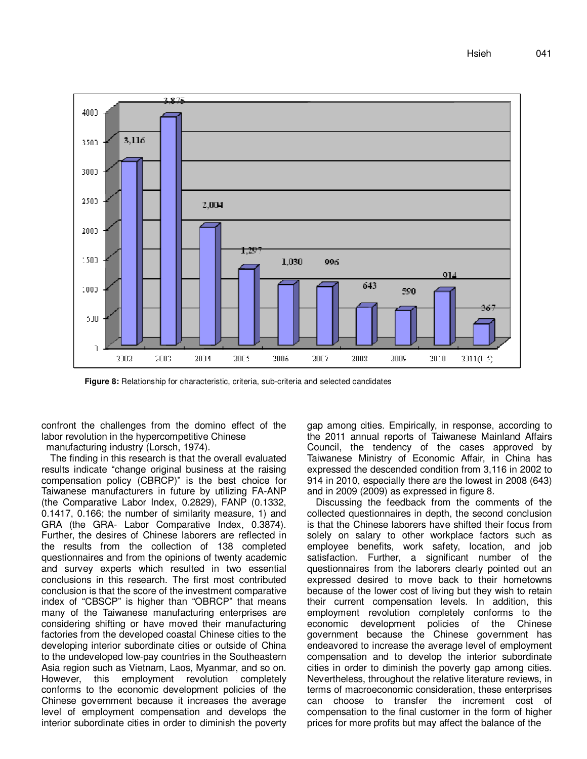

**Figure 8:** Relationship for characteristic, criteria, sub-criteria and selected candidates

confront the challenges from the domino effect of the labor revolution in the hypercompetitive Chinese

manufacturing industry (Lorsch, 1974).

The finding in this research is that the overall evaluated results indicate "change original business at the raising compensation policy (CBRCP)" is the best choice for Taiwanese manufacturers in future by utilizing FA-ANP (the Comparative Labor Index, 0.2829), FANP (0.1332, 0.1417, 0.166; the number of similarity measure, 1) and GRA (the GRA- Labor Comparative Index, 0.3874). Further, the desires of Chinese laborers are reflected in the results from the collection of 138 completed questionnaires and from the opinions of twenty academic and survey experts which resulted in two essential conclusions in this research. The first most contributed conclusion is that the score of the investment comparative index of "CBSCP" is higher than "OBRCP" that means many of the Taiwanese manufacturing enterprises are considering shifting or have moved their manufacturing factories from the developed coastal Chinese cities to the developing interior subordinate cities or outside of China to the undeveloped low-pay countries in the Southeastern Asia region such as Vietnam, Laos, Myanmar, and so on. However, this employment revolution completely conforms to the economic development policies of the Chinese government because it increases the average level of employment compensation and develops the interior subordinate cities in order to diminish the poverty gap among cities. Empirically, in response, according to the 2011 annual reports of Taiwanese Mainland Affairs Council, the tendency of the cases approved by Taiwanese Ministry of Economic Affair, in China has expressed the descended condition from 3,116 in 2002 to 914 in 2010, especially there are the lowest in 2008 (643) and in 2009 (2009) as expressed in figure 8.

Discussing the feedback from the comments of the collected questionnaires in depth, the second conclusion is that the Chinese laborers have shifted their focus from solely on salary to other workplace factors such as employee benefits, work safety, location, and job satisfaction. Further, a significant number of the questionnaires from the laborers clearly pointed out an expressed desired to move back to their hometowns because of the lower cost of living but they wish to retain their current compensation levels. In addition, this employment revolution completely conforms to the economic development policies of the Chinese government because the Chinese government has endeavored to increase the average level of employment compensation and to develop the interior subordinate cities in order to diminish the poverty gap among cities. Nevertheless, throughout the relative literature reviews, in terms of macroeconomic consideration, these enterprises can choose to transfer the increment cost of compensation to the final customer in the form of higher prices for more profits but may affect the balance of the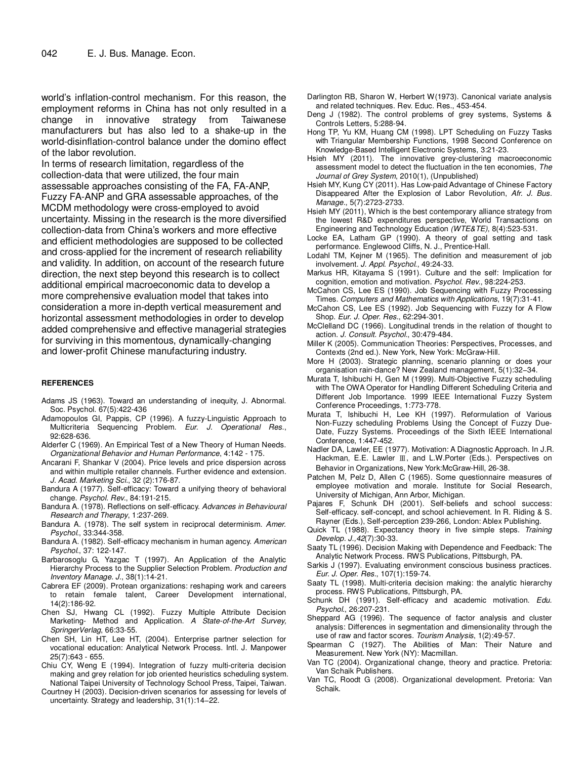world's inflation-control mechanism. For this reason, the employment reforms in China has not only resulted in a change in innovative strategy from Taiwanese manufacturers but has also led to a shake-up in the world-disinflation-control balance under the domino effect of the labor revolution.

In terms of research limitation, regardless of the collection-data that were utilized, the four main assessable approaches consisting of the FA, FA-ANP, Fuzzy FA-ANP and GRA assessable approaches, of the MCDM methodology were cross-employed to avoid uncertainty. Missing in the research is the more diversified collection-data from China's workers and more effective and efficient methodologies are supposed to be collected and cross-applied for the increment of research reliability and validity. In addition, on account of the research future direction, the next step beyond this research is to collect additional empirical macroeconomic data to develop a more comprehensive evaluation model that takes into consideration a more in-depth vertical measurement and horizontal assessment methodologies in order to develop added comprehensive and effective managerial strategies for surviving in this momentous, dynamically-changing and lower-profit Chinese manufacturing industry.

#### **REFERENCES**

- Adams JS (1963). Toward an understanding of inequity, J. Abnormal. Soc. Psychol. 67(5):422-436
- Adamopoulos GI, Pappis, CP (1996). A fuzzy-Linguistic Approach to Multicriteria Sequencing Problem. Eur. J. Operational Res., 92:628-636.
- Alderfer C (1969). An Empirical Test of a New Theory of Human Needs. Organizational Behavior and Human Performance, 4:142 - 175.
- Ancarani F, Shankar V (2004). Price levels and price dispersion across and within multiple retailer channels. Further evidence and extension. J. Acad. Marketing Sci., 32 (2):176-87.
- Bandura A (1977). Self-efficacy: Toward a unifying theory of behavioral change. Psychol. Rev., 84:191-215.
- Bandura A. (1978). Reflections on self-efficacy. Advances in Behavioural Research and Therapy, 1:237-269.
- Bandura A. (1978). The self system in reciprocal determinism. Amer. Psychol., 33:344-358.
- Bandura A. (1982). Self-efficacy mechanism in human agency. American Psychol., 37: 122-147.
- Barbarosoglu G, Yazgac T (1997). An Application of the Analytic Hierarchy Process to the Supplier Selection Problem. Production and Inventory Manage. J., 38(1):14-21.
- Cabrera EF (2009). Protean organizations: reshaping work and careers to retain female talent, Career Development international, 14(2):186-92.
- Chen SJ, Hwang CL (1992). Fuzzy Multiple Attribute Decision Marketing- Method and Application. A State-of-the-Art Survey, SpringerVerlag, 66:33-55.
- Chen SH, Lin HT, Lee HT, (2004). Enterprise partner selection for vocational education: Analytical Network Process. Intl. J. Manpower 25(7):643 - 655.
- Chiu CY, Weng E (1994). Integration of fuzzy multi-criteria decision making and grey relation for job oriented heuristics scheduling system. National Taipei University of Technology School Press, Taipei, Taiwan.
- Courtney H (2003). Decision-driven scenarios for assessing for levels of uncertainty. Strategy and leadership, 31(1):14−22.
- Darlington RB, Sharon W, Herbert W(1973). Canonical variate analysis and related techniques. Rev. Educ. Res., 453-454.
- Deng J (1982). The control problems of grey systems, Systems & Controls Letters, 5:288-94.
- Hong TP, Yu KM, Huang CM (1998). LPT Scheduling on Fuzzy Tasks with Triangular Membership Functions, 1998 Second Conference on Knowledge-Based Intelligent Electronic Systems, 3:21-23.
- Hsieh MY (2011). The innovative grey-clustering macroeconomic assessment model to detect the fluctuation in the ten economies, The Journal of Grey System, 2010(1), (Unpublished)
- Hsieh MY, Kung CY (2011). Has Low-paid Advantage of Chinese Factory Disappeared After the Explosion of Labor Revolution, Afr. J. Bus. Manage., 5(7):2723-2733.
- Hsieh MY (2011), Which is the best contemporary alliance strategy from the lowest R&D expenditures perspective, World Transactions on Engineering and Technology Education (WTE&TE), 8(4):523-531.
- Locke EA, Latham GP (1990). A theory of goal setting and task performance. Englewood Cliffs, N. J., Prentice-Hall.
- Lodahl TM, Kejner M (1965). The definition and measurement of job involvement. J. Appl. Psychol., 49:24-33.
- Markus HR, Kitayama S (1991). Culture and the self: Implication for cognition, emotion and motivation. Psychol. Rev., 98:224-253.
- McCahon CS, Lee ES (1990). Job Sequencing with Fuzzy Processing Times. Computers and Mathematics with Applications, 19(7):31-41.
- McCahon CS, Lee ES (1992). Job Sequencing with Fuzzy for A Flow Shop. Eur. J. Oper. Res., 62:294-301.
- McClelland DC (1966). Longitudinal trends in the relation of thought to action. J. Consult. Psychol., 30:479-484.
- Miller K (2005). Communication Theories: Perspectives, Processes, and Contexts (2nd ed.). New York, New York: McGraw-Hill.
- More H (2003). Strategic planning, scenario planning or does your organisation rain-dance? New Zealand management, 5(1):32−34.
- Murata T, Ishibuchi H, Gen M (1999). Multi-Objective Fuzzy scheduling with The OWA Operator for Handling Different Scheduling Criteria and Different Job Importance. 1999 IEEE International Fuzzy System Conference Proceedings, 1:773-778.
- Murata T, Ishibuchi H, Lee KH (1997). Reformulation of Various Non-Fuzzy scheduling Problems Using the Concept of Fuzzy Due-Date, Fuzzy Systems. Proceedings of the Sixth IEEE International Conference, 1:447-452.
- Nadler DA, Lawler, EE (1977). Motivation: A Diagnostic Approach. In J.R. Hackman, E.E. Lawler Ⅲ, and L.W.Porter (Eds.). Perspectives on Behavior in Organizations, New York:McGraw-Hill, 26-38.
- Patchen M, Pelz D, Allen C (1965). Some questionnaire measures of employee motivation and morale. Institute for Social Research, University of Michigan, Ann Arbor, Michigan.
- Pajares F, Schunk DH (2001). Self-beliefs and school success: Self-efficacy. self-concept, and school achievement. In R. Riding & S. Rayner (Eds.), Self-perception 239-266, London: Ablex Publishing.
- Quick TL (1988). Expectancy theory in five simple steps. Training Develop. J.,42(7):30-33.
- Saaty TL (1996). Decision Making with Dependence and Feedback: The Analytic Network Process. RWS Publications, Pittsburgh, PA.
- Sarkis J (1997). Evaluating environment conscious business practices. Eur. J. Oper. Res., 107(1):159-74.
- Saaty TL (1998). Multi-criteria decision making: the analytic hierarchy process. RWS Publications, Pittsburgh, PA.
- Schunk DH (1991). Self-efficacy and academic motivation. Edu. Psychol., 26:207-231.
- Sheppard AG (1996). The sequence of factor analysis and cluster analysis: Differences in segmentation and dimensionality through the use of raw and factor scores. Tourism Analysis, 1(2):49-57.
- Spearman C (1927). The Abilities of Man: Their Nature and Measurement. New York (NY): Macmillan.
- Van TC (2004). Organizational change, theory and practice. Pretoria: Van Schaik Publishers.
- Van TC, Roodt G (2008). Organizational development. Pretoria: Van Schaik.